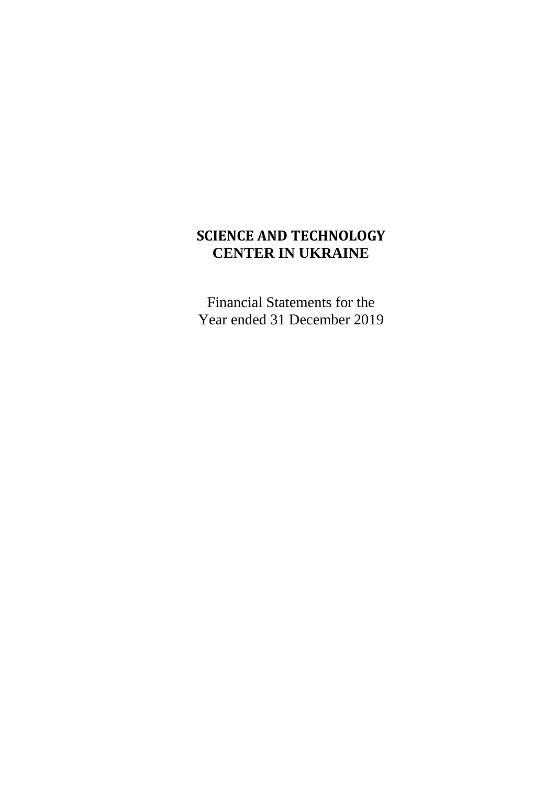Financial Statements for the Year ended 31 December 2019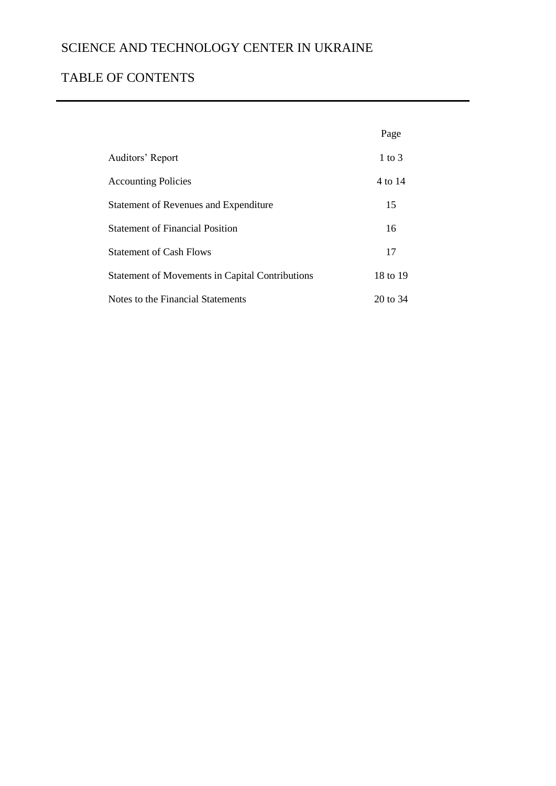# TABLE OF CONTENTS

|                                                        | Page     |
|--------------------------------------------------------|----------|
| Auditors' Report                                       | 1 to 3   |
| <b>Accounting Policies</b>                             | 4 to 14  |
| <b>Statement of Revenues and Expenditure</b>           | 15       |
| <b>Statement of Financial Position</b>                 | 16       |
| <b>Statement of Cash Flows</b>                         | 17       |
| <b>Statement of Movements in Capital Contributions</b> | 18 to 19 |
| Notes to the Financial Statements                      | 20 to 34 |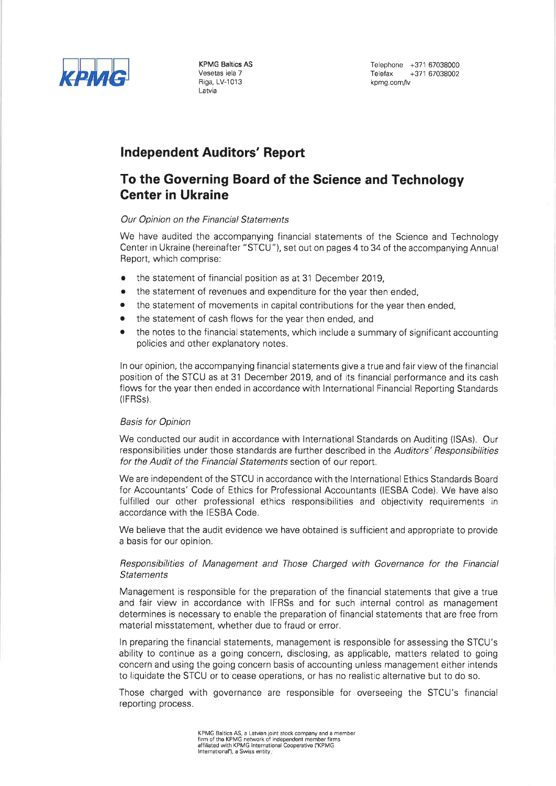

KPMG Baltics AS Vesetas iela 7 Riga, LV-1013 Latvia

Telephone +371 67038000 Telefax +371 67038002 kpmg.com/lv

# lndependent Auditors' Report

# To the Governing Board of the Science and Technology Center in Ukraine

#### Our Opinion on the Financial Statements

We have audited the accompanying financial statements of the Science and Technology Center in Ukraine (hereinafter "STCU "), set out on pages 4 to 34 of the accompanying Annual Report, which comprise;

- . the statement of financial position as at 31 December 2019,
- the statement of revenues and expenditure for the year then ended,
- . the statement of movements in capital contributions for the year then ended,
- . the statement of cash flows for the year then ended, and
- . the notes to the financiaļ Statements, which include a Summary of significant accounting policies and other explanatory notes.

In our opinion, the accompanying financial statements give a true and fair view of the financial position of the STCU as at 31 December 2019, and of its financial performance and its cash flows for the year then ended in accordance with lnternational Financial Reporting Standards (lFRSs).

#### Basis for Opinion

We conducted our audit in accordance with lnternational Standards on Auditing (lSAs). Our responsibilities under those standards are further described in the Auditors' Responsibilities for the Audit of the Financial Statements section of our report.

We are independent of the STCU in accordance with the lnternational Ethics Standards Board for Accountants' Code of Ethics for Professional Accountants (IESBA Code). We have also fulfilled our other professional ethics responsibilities and objectivity requirements in accordance with the IESBA Code.

We believe that the audit evidence we have obtained is sufficient and appropriate to provide a basis for our opinion.

#### Responsibilities of Management and Those Charged with Governance for the Financial **Statements**

Management is responsible for the preparation of the financial statements that give a true and fair view in accordance with IFRSs and for such internal control as management determines is necessary to enable the preparation of financial statements that are free from material misstatement, whether due to fraud or error.

ln preparing the financial statements, management is responsible for assessing the STCU's ability to continue as a going concern, disclosing, as applicable, matters related to going concern and using the going concern basis of accounting unless management either intends to liquidate the STCU or to cease operations, or has no realistic alternative but to do so.

Those charged with governance are responsible for overseeing the STCU's financial reporting process.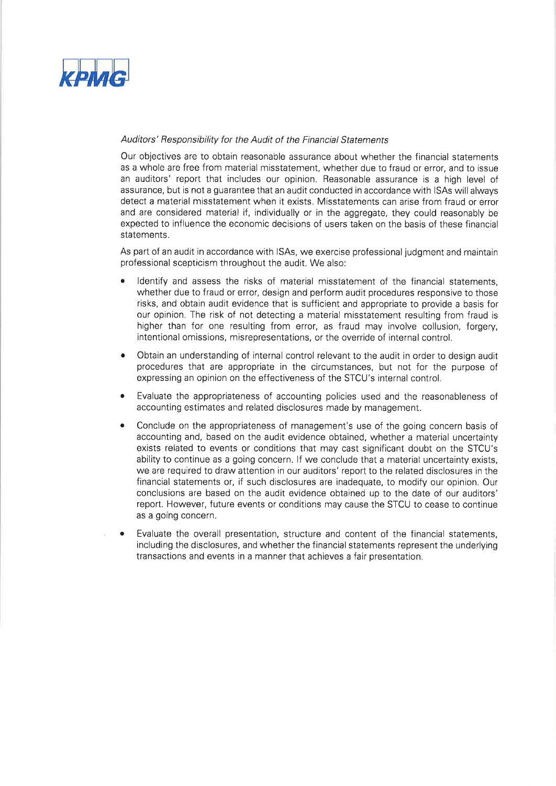

#### Auditors' Responsibility for the Audit of the Financial Statements

Our objectives are to obtain reasonable assurance about whether the financial statements as a whole are free from material misstatement, whether due to fraud or error, and to issue an auditors' report that includes our opinion. Reasonable assurance is a high level of assurance, but is not a guarantee that an audit conducted in accordance with lSAs will always detect a material misstatement when it exists. Misstatements can arise from fraud or error and are considered material if, individually or in the aggregate, they could reasonably be expected to influence the economic decisions of users taken on the basis of these financial statements.

As part of an audit in accordance with lSAs, we exercise professional judgment and maintain professional scepticism throughout the audit. We also:

- ldentify and assess the risks of material misstatement of the financial statements, whether due to fraud or error, design and perform audit procedures responsive to those risks, and obtain audit evidence that is sufficient and appropriate to provide a basis for our opinion. The risk of not detecting a material misstatement resulting from fraud is higher than for one resulting from error, as fraud may involve collusion, forgery, intentional omissions, misrepresentations, or the override of internal control.
- o Obtain an understanding of internal control relevant to the audit in order to design audit procedures that are appropriate in the circumstances, but not for the purpose of expressing an opinion on the effectiveness of the STCU's internal control.
- Evaluate the appropriateness of accounting policies used and the reasonableness of accounting estimates and related disclosures made by management.
- Conclude on the appropriateness of management's use of the going concern basis of accounting and. based on the audit evidence obtained, whether a material uncertainty exists related to events or conditions that may cast significant doubt on the STCU's ability to continue as a going concern. lf we conclude that a material uncertainty exists, we are required to draw attention in our auditors' report to the related disclosures in the financial statements or, if such disclosures are inadequate, to modify our opinion. Our conclusions are based on the audit evidence obtained up to the date of our auditors' report. However, future events or conditions may cause the STCU to cease to continue as a going concern.
- Evaluate the overall presentation, structure and content of the financial statements, including the disclosures, and whether the financial statements represent the underlying transactions and events in a manner that achieves a fair presentation.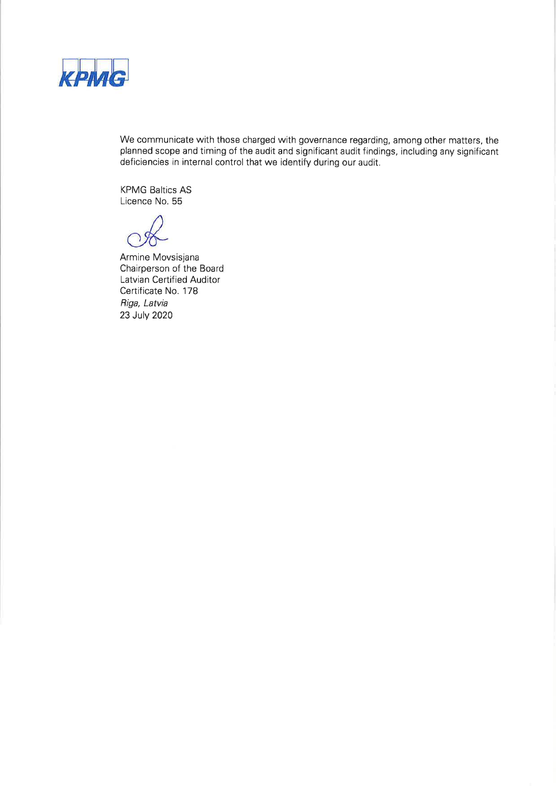

We communicate with those charged with governance regarding, among other matters, the planned scope and timing of the audit and significant audit findings, including any significant deficiencies in internal control that we identify during our audit.

KPMG Baltics AS Licence No. 55

Armine Movsisjana Chairperson of the Board Latvian Certified Auditor Certificate No. 178 Riga, Latvia 23 July 2020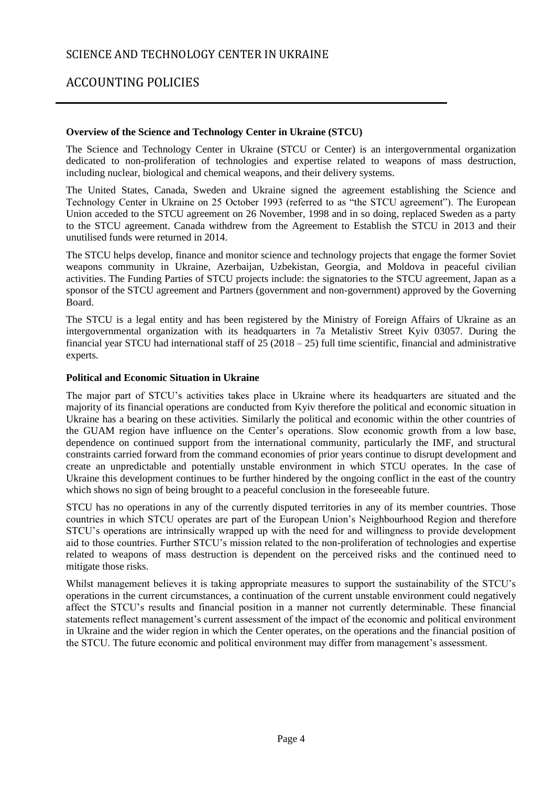# ACCOUNTING POLICIES

### **Overview of the Science and Technology Center in Ukraine (STCU)**

The Science and Technology Center in Ukraine (STCU or Center) is an intergovernmental organization dedicated to non-proliferation of technologies and expertise related to weapons of mass destruction, including nuclear, biological and chemical weapons, and their delivery systems.

The United States, Canada, Sweden and Ukraine signed the agreement establishing the Science and Technology Center in Ukraine on 25 October 1993 (referred to as "the STCU agreement"). The European Union acceded to the STCU agreement on 26 November, 1998 and in so doing, replaced Sweden as a party to the STCU agreement. Canada withdrew from the Agreement to Establish the STCU in 2013 and their unutilised funds were returned in 2014.

The STCU helps develop, finance and monitor science and technology projects that engage the former Soviet weapons community in Ukraine, Azerbaijan, Uzbekistan, Georgia, and Moldova in peaceful civilian activities. The Funding Parties of STCU projects include: the signatories to the STCU agreement, Japan as a sponsor of the STCU agreement and Partners (government and non-government) approved by the Governing Board.

The STCU is a legal entity and has been registered by the Ministry of Foreign Affairs of Ukraine as an intergovernmental organization with its headquarters in 7a Metalistiv Street Kyiv 03057. During the financial year STCU had international staff of  $25 (2018 - 25)$  full time scientific, financial and administrative experts.

### **Political and Economic Situation in Ukraine**

The major part of STCU's activities takes place in Ukraine where its headquarters are situated and the majority of its financial operations are conducted from Kyiv therefore the political and economic situation in Ukraine has a bearing on these activities. Similarly the political and economic within the other countries of the GUAM region have influence on the Center's operations. Slow economic growth from a low base, dependence on continued support from the international community, particularly the IMF, and structural constraints carried forward from the command economies of prior years continue to disrupt development and create an unpredictable and potentially unstable environment in which STCU operates. In the case of Ukraine this development continues to be further hindered by the ongoing conflict in the east of the country which shows no sign of being brought to a peaceful conclusion in the foreseeable future.

STCU has no operations in any of the currently disputed territories in any of its member countries. Those countries in which STCU operates are part of the European Union's Neighbourhood Region and therefore STCU's operations are intrinsically wrapped up with the need for and willingness to provide development aid to those countries. Further STCU's mission related to the non-proliferation of technologies and expertise related to weapons of mass destruction is dependent on the perceived risks and the continued need to mitigate those risks.

Whilst management believes it is taking appropriate measures to support the sustainability of the STCU's operations in the current circumstances, a continuation of the current unstable environment could negatively affect the STCU's results and financial position in a manner not currently determinable. These financial statements reflect management's current assessment of the impact of the economic and political environment in Ukraine and the wider region in which the Center operates, on the operations and the financial position of the STCU. The future economic and political environment may differ from management's assessment.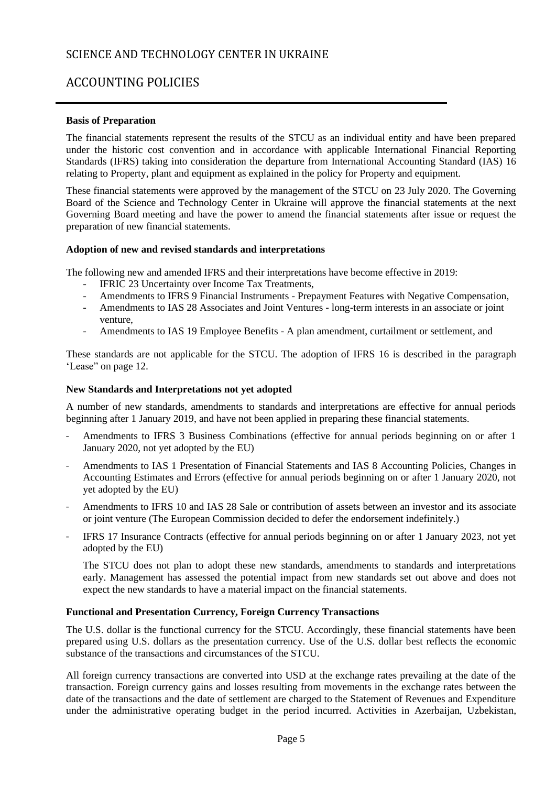# ACCOUNTING POLICIES

## **Basis of Preparation**

The financial statements represent the results of the STCU as an individual entity and have been prepared under the historic cost convention and in accordance with applicable International Financial Reporting Standards (IFRS) taking into consideration the departure from International Accounting Standard (IAS) 16 relating to Property, plant and equipment as explained in the policy for Property and equipment.

These financial statements were approved by the management of the STCU on 23 July 2020. The Governing Board of the Science and Technology Center in Ukraine will approve the financial statements at the next Governing Board meeting and have the power to amend the financial statements after issue or request the preparation of new financial statements.

## **Adoption of new and revised standards and interpretations**

The following new and amended IFRS and their interpretations have become effective in 2019:

- IFRIC 23 Uncertainty over Income Tax Treatments,
- Amendments to IFRS 9 Financial Instruments Prepayment Features with Negative Compensation,
- Amendments to IAS 28 Associates and Joint Ventures long-term interests in an associate or joint venture,
- Amendments to IAS 19 Employee Benefits A plan amendment, curtailment or settlement, and

These standards are not applicable for the STCU. The adoption of IFRS 16 is described in the paragraph 'Lease" on page 12.

## **New Standards and Interpretations not yet adopted**

A number of new standards, amendments to standards and interpretations are effective for annual periods beginning after 1 January 2019, and have not been applied in preparing these financial statements.

- Amendments to IFRS 3 Business Combinations (effective for annual periods beginning on or after 1 January 2020, not yet adopted by the EU)
- Amendments to IAS 1 Presentation of Financial Statements and IAS 8 Accounting Policies, Changes in Accounting Estimates and Errors (effective for annual periods beginning on or after 1 January 2020, not yet adopted by the EU)
- Amendments to IFRS 10 and IAS 28 Sale or contribution of assets between an investor and its associate or joint venture (The European Commission decided to defer the endorsement indefinitely.)
- IFRS 17 Insurance Contracts (effective for annual periods beginning on or after 1 January 2023, not yet adopted by the EU)

The STCU does not plan to adopt these new standards, amendments to standards and interpretations early. Management has assessed the potential impact from new standards set out above and does not expect the new standards to have a material impact on the financial statements.

### **Functional and Presentation Currency, Foreign Currency Transactions**

The U.S. dollar is the functional currency for the STCU. Accordingly, these financial statements have been prepared using U.S. dollars as the presentation currency. Use of the U.S. dollar best reflects the economic substance of the transactions and circumstances of the STCU.

All foreign currency transactions are converted into USD at the exchange rates prevailing at the date of the transaction. Foreign currency gains and losses resulting from movements in the exchange rates between the date of the transactions and the date of settlement are charged to the Statement of Revenues and Expenditure under the administrative operating budget in the period incurred. Activities in Azerbaijan, Uzbekistan,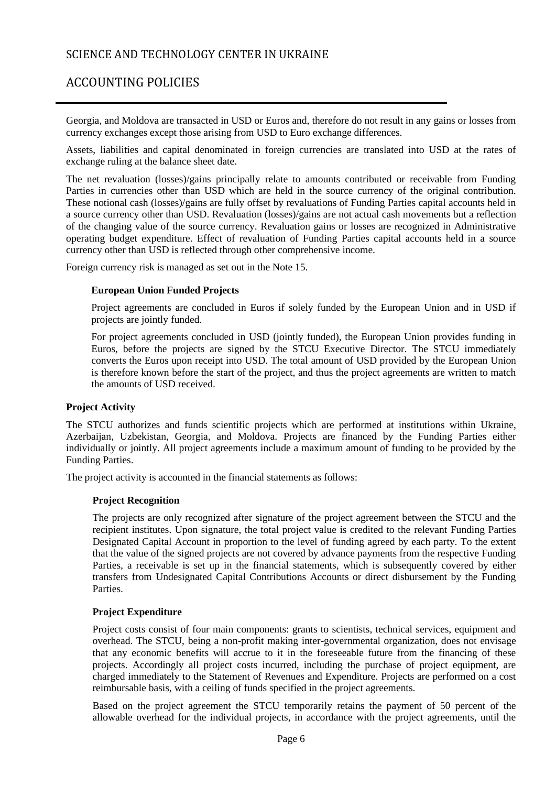# ACCOUNTING POLICIES

Georgia, and Moldova are transacted in USD or Euros and, therefore do not result in any gains or losses from currency exchanges except those arising from USD to Euro exchange differences.

Assets, liabilities and capital denominated in foreign currencies are translated into USD at the rates of exchange ruling at the balance sheet date.

The net revaluation (losses)/gains principally relate to amounts contributed or receivable from Funding Parties in currencies other than USD which are held in the source currency of the original contribution. These notional cash (losses)/gains are fully offset by revaluations of Funding Parties capital accounts held in a source currency other than USD. Revaluation (losses)/gains are not actual cash movements but a reflection of the changing value of the source currency. Revaluation gains or losses are recognized in Administrative operating budget expenditure. Effect of revaluation of Funding Parties capital accounts held in a source currency other than USD is reflected through other comprehensive income.

Foreign currency risk is managed as set out in the Note 15.

### **European Union Funded Projects**

Project agreements are concluded in Euros if solely funded by the European Union and in USD if projects are jointly funded.

For project agreements concluded in USD (jointly funded), the European Union provides funding in Euros, before the projects are signed by the STCU Executive Director. The STCU immediately converts the Euros upon receipt into USD. The total amount of USD provided by the European Union is therefore known before the start of the project, and thus the project agreements are written to match the amounts of USD received.

### **Project Activity**

The STCU authorizes and funds scientific projects which are performed at institutions within Ukraine, Azerbaijan, Uzbekistan, Georgia, and Moldova. Projects are financed by the Funding Parties either individually or jointly. All project agreements include a maximum amount of funding to be provided by the Funding Parties.

The project activity is accounted in the financial statements as follows:

### **Project Recognition**

The projects are only recognized after signature of the project agreement between the STCU and the recipient institutes. Upon signature, the total project value is credited to the relevant Funding Parties Designated Capital Account in proportion to the level of funding agreed by each party. To the extent that the value of the signed projects are not covered by advance payments from the respective Funding Parties, a receivable is set up in the financial statements, which is subsequently covered by either transfers from Undesignated Capital Contributions Accounts or direct disbursement by the Funding Parties.

### **Project Expenditure**

Project costs consist of four main components: grants to scientists, technical services, equipment and overhead. The STCU, being a non-profit making inter-governmental organization, does not envisage that any economic benefits will accrue to it in the foreseeable future from the financing of these projects. Accordingly all project costs incurred, including the purchase of project equipment, are charged immediately to the Statement of Revenues and Expenditure. Projects are performed on a cost reimbursable basis, with a ceiling of funds specified in the project agreements.

Based on the project agreement the STCU temporarily retains the payment of 50 percent of the allowable overhead for the individual projects, in accordance with the project agreements, until the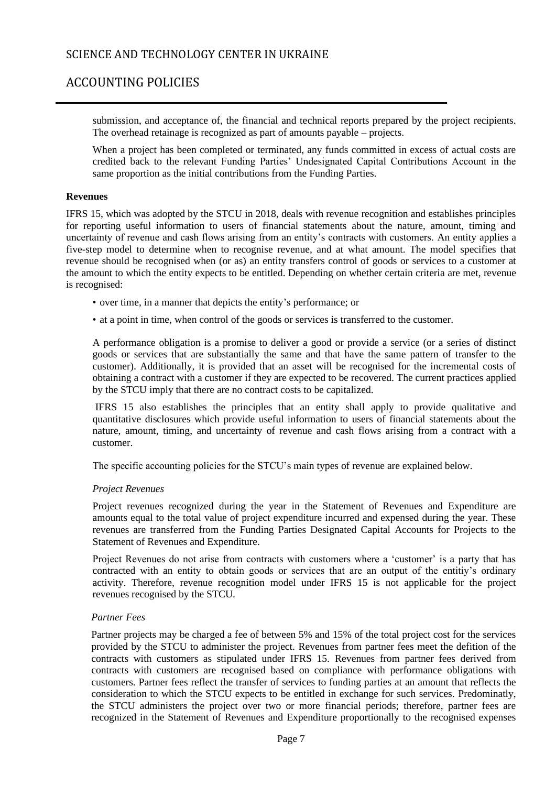submission, and acceptance of, the financial and technical reports prepared by the project recipients. The overhead retainage is recognized as part of amounts payable – projects.

When a project has been completed or terminated, any funds committed in excess of actual costs are credited back to the relevant Funding Parties' Undesignated Capital Contributions Account in the same proportion as the initial contributions from the Funding Parties.

## **Revenues**

IFRS 15, which was adopted by the STCU in 2018, deals with revenue recognition and establishes principles for reporting useful information to users of financial statements about the nature, amount, timing and uncertainty of revenue and cash flows arising from an entity's contracts with customers. An entity applies a five-step model to determine when to recognise revenue, and at what amount. The model specifies that revenue should be recognised when (or as) an entity transfers control of goods or services to a customer at the amount to which the entity expects to be entitled. Depending on whether certain criteria are met, revenue is recognised:

- over time, in a manner that depicts the entity's performance; or
- at a point in time, when control of the goods or services is transferred to the customer.

A performance obligation is a promise to deliver a good or provide a service (or a series of distinct goods or services that are substantially the same and that have the same pattern of transfer to the customer). Additionally, it is provided that an asset will be recognised for the incremental costs of obtaining a contract with a customer if they are expected to be recovered. The current practices applied by the STCU imply that there are no contract costs to be capitalized.

IFRS 15 also establishes the principles that an entity shall apply to provide qualitative and quantitative disclosures which provide useful information to users of financial statements about the nature, amount, timing, and uncertainty of revenue and cash flows arising from a contract with a customer.

The specific accounting policies for the STCU's main types of revenue are explained below.

### *Project Revenues*

Project revenues recognized during the year in the Statement of Revenues and Expenditure are amounts equal to the total value of project expenditure incurred and expensed during the year. These revenues are transferred from the Funding Parties Designated Capital Accounts for Projects to the Statement of Revenues and Expenditure.

Project Revenues do not arise from contracts with customers where a 'customer' is a party that has contracted with an entity to obtain goods or services that are an output of the entitiy's ordinary activity. Therefore, revenue recognition model under IFRS 15 is not applicable for the project revenues recognised by the STCU.

### *Partner Fees*

Partner projects may be charged a fee of between 5% and 15% of the total project cost for the services provided by the STCU to administer the project. Revenues from partner fees meet the defition of the contracts with customers as stipulated under IFRS 15. Revenues from partner fees derived from contracts with customers are recognised based on compliance with performance obligations with customers. Partner fees reflect the transfer of services to funding parties at an amount that reflects the consideration to which the STCU expects to be entitled in exchange for such services. Predominatly, the STCU administers the project over two or more financial periods; therefore, partner fees are recognized in the Statement of Revenues and Expenditure proportionally to the recognised expenses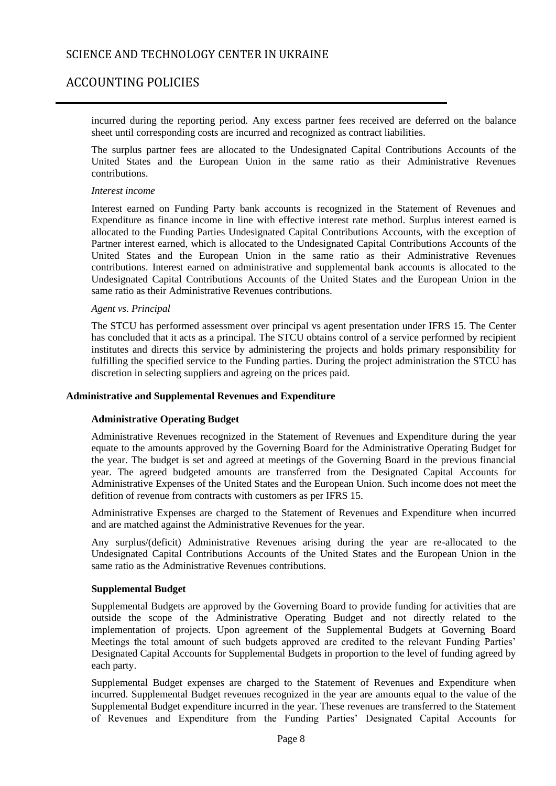incurred during the reporting period. Any excess partner fees received are deferred on the balance sheet until corresponding costs are incurred and recognized as contract liabilities.

The surplus partner fees are allocated to the Undesignated Capital Contributions Accounts of the United States and the European Union in the same ratio as their Administrative Revenues contributions.

#### *Interest income*

Interest earned on Funding Party bank accounts is recognized in the Statement of Revenues and Expenditure as finance income in line with effective interest rate method. Surplus interest earned is allocated to the Funding Parties Undesignated Capital Contributions Accounts, with the exception of Partner interest earned, which is allocated to the Undesignated Capital Contributions Accounts of the United States and the European Union in the same ratio as their Administrative Revenues contributions. Interest earned on administrative and supplemental bank accounts is allocated to the Undesignated Capital Contributions Accounts of the United States and the European Union in the same ratio as their Administrative Revenues contributions.

#### *Agent vs. Principal*

The STCU has performed assessment over principal vs agent presentation under IFRS 15. The Center has concluded that it acts as a principal. The STCU obtains control of a service performed by recipient institutes and directs this service by administering the projects and holds primary responsibility for fulfilling the specified service to the Funding parties. During the project administration the STCU has discretion in selecting suppliers and agreing on the prices paid.

### **Administrative and Supplemental Revenues and Expenditure**

### **Administrative Operating Budget**

Administrative Revenues recognized in the Statement of Revenues and Expenditure during the year equate to the amounts approved by the Governing Board for the Administrative Operating Budget for the year. The budget is set and agreed at meetings of the Governing Board in the previous financial year. The agreed budgeted amounts are transferred from the Designated Capital Accounts for Administrative Expenses of the United States and the European Union. Such income does not meet the defition of revenue from contracts with customers as per IFRS 15.

Administrative Expenses are charged to the Statement of Revenues and Expenditure when incurred and are matched against the Administrative Revenues for the year.

Any surplus/(deficit) Administrative Revenues arising during the year are re-allocated to the Undesignated Capital Contributions Accounts of the United States and the European Union in the same ratio as the Administrative Revenues contributions.

#### **Supplemental Budget**

Supplemental Budgets are approved by the Governing Board to provide funding for activities that are outside the scope of the Administrative Operating Budget and not directly related to the implementation of projects. Upon agreement of the Supplemental Budgets at Governing Board Meetings the total amount of such budgets approved are credited to the relevant Funding Parties' Designated Capital Accounts for Supplemental Budgets in proportion to the level of funding agreed by each party.

Supplemental Budget expenses are charged to the Statement of Revenues and Expenditure when incurred. Supplemental Budget revenues recognized in the year are amounts equal to the value of the Supplemental Budget expenditure incurred in the year. These revenues are transferred to the Statement of Revenues and Expenditure from the Funding Parties' Designated Capital Accounts for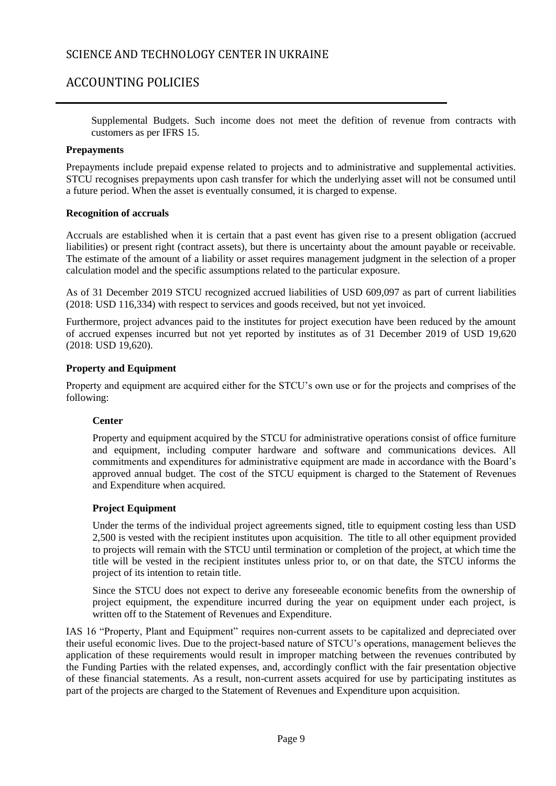Supplemental Budgets. Such income does not meet the defition of revenue from contracts with customers as per IFRS 15.

## **Prepayments**

Prepayments include prepaid expense related to projects and to administrative and supplemental activities. STCU recognises prepayments upon cash transfer for which the underlying asset will not be consumed until a future period. When the asset is eventually consumed, it is charged to expense.

## **Recognition of accruals**

Accruals are established when it is certain that a past event has given rise to a present obligation (accrued liabilities) or present right (contract assets), but there is uncertainty about the amount payable or receivable. The estimate of the amount of a liability or asset requires management judgment in the selection of a proper calculation model and the specific assumptions related to the particular exposure.

As of 31 December 2019 STCU recognized accrued liabilities of USD 609,097 as part of current liabilities (2018: USD 116,334) with respect to services and goods received, but not yet invoiced.

Furthermore, project advances paid to the institutes for project execution have been reduced by the amount of accrued expenses incurred but not yet reported by institutes as of 31 December 2019 of USD 19,620 (2018: USD 19,620).

## **Property and Equipment**

Property and equipment are acquired either for the STCU's own use or for the projects and comprises of the following:

### **Center**

Property and equipment acquired by the STCU for administrative operations consist of office furniture and equipment, including computer hardware and software and communications devices. All commitments and expenditures for administrative equipment are made in accordance with the Board's approved annual budget. The cost of the STCU equipment is charged to the Statement of Revenues and Expenditure when acquired.

### **Project Equipment**

Under the terms of the individual project agreements signed, title to equipment costing less than USD 2,500 is vested with the recipient institutes upon acquisition. The title to all other equipment provided to projects will remain with the STCU until termination or completion of the project, at which time the title will be vested in the recipient institutes unless prior to, or on that date, the STCU informs the project of its intention to retain title.

Since the STCU does not expect to derive any foreseeable economic benefits from the ownership of project equipment, the expenditure incurred during the year on equipment under each project, is written off to the Statement of Revenues and Expenditure.

IAS 16 "Property, Plant and Equipment" requires non-current assets to be capitalized and depreciated over their useful economic lives. Due to the project-based nature of STCU's operations, management believes the application of these requirements would result in improper matching between the revenues contributed by the Funding Parties with the related expenses, and, accordingly conflict with the fair presentation objective of these financial statements. As a result, non-current assets acquired for use by participating institutes as part of the projects are charged to the Statement of Revenues and Expenditure upon acquisition.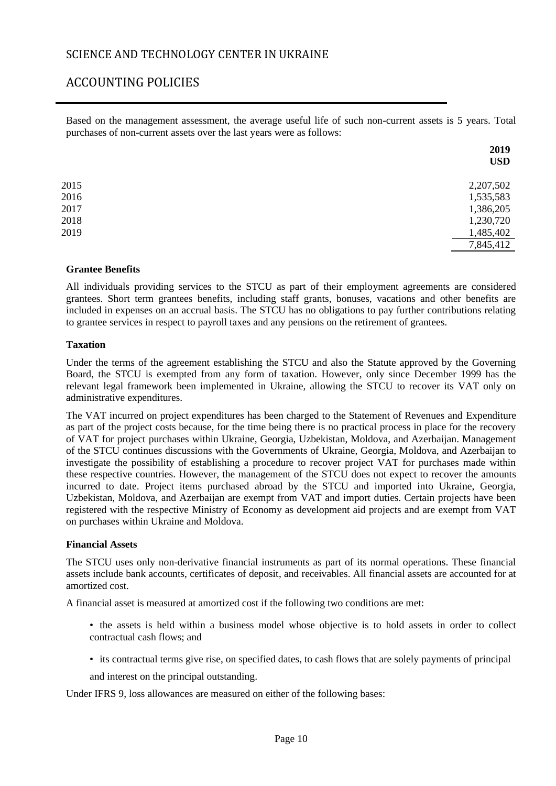Based on the management assessment, the average useful life of such non-current assets is 5 years. Total purchases of non-current assets over the last years were as follows:

|      | 2019<br><b>USD</b> |
|------|--------------------|
| 2015 | 2,207,502          |
| 2016 | 1,535,583          |
| 2017 | 1,386,205          |
| 2018 | 1,230,720          |
| 2019 | 1,485,402          |
|      | 7,845,412          |

### **Grantee Benefits**

All individuals providing services to the STCU as part of their employment agreements are considered grantees. Short term grantees benefits, including staff grants, bonuses, vacations and other benefits are included in expenses on an accrual basis. The STCU has no obligations to pay further contributions relating to grantee services in respect to payroll taxes and any pensions on the retirement of grantees.

### **Taxation**

Under the terms of the agreement establishing the STCU and also the Statute approved by the Governing Board, the STCU is exempted from any form of taxation. However, only since December 1999 has the relevant legal framework been implemented in Ukraine, allowing the STCU to recover its VAT only on administrative expenditures.

The VAT incurred on project expenditures has been charged to the Statement of Revenues and Expenditure as part of the project costs because, for the time being there is no practical process in place for the recovery of VAT for project purchases within Ukraine, Georgia, Uzbekistan, Moldova, and Azerbaijan. Management of the STCU continues discussions with the Governments of Ukraine, Georgia, Moldova, and Azerbaijan to investigate the possibility of establishing a procedure to recover project VAT for purchases made within these respective countries. However, the management of the STCU does not expect to recover the amounts incurred to date. Project items purchased abroad by the STCU and imported into Ukraine, Georgia, Uzbekistan, Moldova, and Azerbaijan are exempt from VAT and import duties. Certain projects have been registered with the respective Ministry of Economy as development aid projects and are exempt from VAT on purchases within Ukraine and Moldova.

### **Financial Assets**

The STCU uses only non-derivative financial instruments as part of its normal operations. These financial assets include bank accounts, certificates of deposit, and receivables. All financial assets are accounted for at amortized cost.

A financial asset is measured at amortized cost if the following two conditions are met:

- the assets is held within a business model whose objective is to hold assets in order to collect contractual cash flows; and
- its contractual terms give rise, on specified dates, to cash flows that are solely payments of principal and interest on the principal outstanding.

Under IFRS 9, loss allowances are measured on either of the following bases: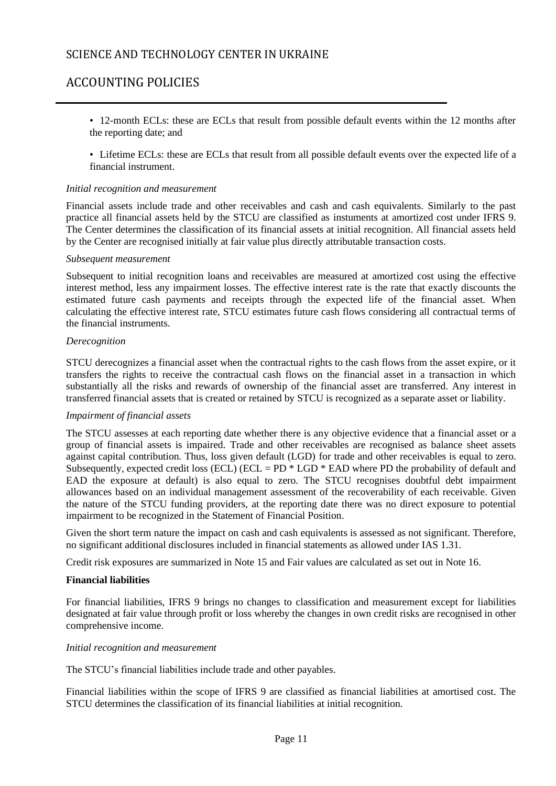• 12-month ECLs: these are ECLs that result from possible default events within the 12 months after the reporting date; and

• Lifetime ECLs: these are ECLs that result from all possible default events over the expected life of a financial instrument.

### *Initial recognition and measurement*

Financial assets include trade and other receivables and cash and cash equivalents. Similarly to the past practice all financial assets held by the STCU are classified as instuments at amortized cost under IFRS 9. The Center determines the classification of its financial assets at initial recognition. All financial assets held by the Center are recognised initially at fair value plus directly attributable transaction costs.

### *Subsequent measurement*

Subsequent to initial recognition loans and receivables are measured at amortized cost using the effective interest method, less any impairment losses. The effective interest rate is the rate that exactly discounts the estimated future cash payments and receipts through the expected life of the financial asset. When calculating the effective interest rate, STCU estimates future cash flows considering all contractual terms of the financial instruments.

## *Derecognition*

STCU derecognizes a financial asset when the contractual rights to the cash flows from the asset expire, or it transfers the rights to receive the contractual cash flows on the financial asset in a transaction in which substantially all the risks and rewards of ownership of the financial asset are transferred. Any interest in transferred financial assets that is created or retained by STCU is recognized as a separate asset or liability.

### *Impairment of financial assets*

The STCU assesses at each reporting date whether there is any objective evidence that a financial asset or a group of financial assets is impaired. Trade and other receivables are recognised as balance sheet assets against capital contribution. Thus, loss given default (LGD) for trade and other receivables is equal to zero. Subsequently, expected credit loss (ECL) (ECL =  $PD * LGD * EAD$  where PD the probability of default and EAD the exposure at default) is also equal to zero. The STCU recognises doubtful debt impairment allowances based on an individual management assessment of the recoverability of each receivable. Given the nature of the STCU funding providers, at the reporting date there was no direct exposure to potential impairment to be recognized in the Statement of Financial Position.

Given the short term nature the impact on cash and cash equivalents is assessed as not significant. Therefore, no significant additional disclosures included in financial statements as allowed under IAS 1.31.

Credit risk exposures are summarized in Note 15 and Fair values are calculated as set out in Note 16.

### **Financial liabilities**

For financial liabilities, IFRS 9 brings no changes to classification and measurement except for liabilities designated at fair value through profit or loss whereby the changes in own credit risks are recognised in other comprehensive income.

### *Initial recognition and measurement*

The STCU's financial liabilities include trade and other payables.

Financial liabilities within the scope of IFRS 9 are classified as financial liabilities at amortised cost. The STCU determines the classification of its financial liabilities at initial recognition.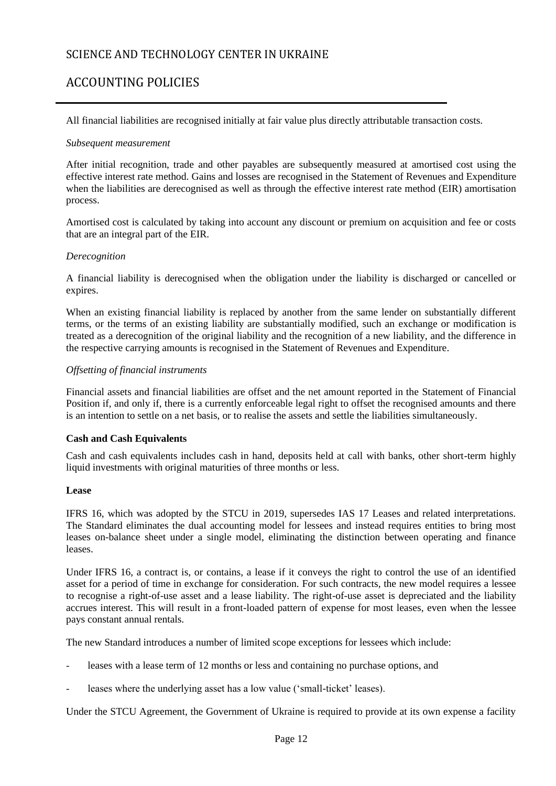# ACCOUNTING POLICIES

All financial liabilities are recognised initially at fair value plus directly attributable transaction costs.

### *Subsequent measurement*

After initial recognition, trade and other payables are subsequently measured at amortised cost using the effective interest rate method. Gains and losses are recognised in the Statement of Revenues and Expenditure when the liabilities are derecognised as well as through the effective interest rate method (EIR) amortisation process.

Amortised cost is calculated by taking into account any discount or premium on acquisition and fee or costs that are an integral part of the EIR.

### *Derecognition*

A financial liability is derecognised when the obligation under the liability is discharged or cancelled or expires.

When an existing financial liability is replaced by another from the same lender on substantially different terms, or the terms of an existing liability are substantially modified, such an exchange or modification is treated as a derecognition of the original liability and the recognition of a new liability, and the difference in the respective carrying amounts is recognised in the Statement of Revenues and Expenditure.

### *Offsetting of financial instruments*

Financial assets and financial liabilities are offset and the net amount reported in the Statement of Financial Position if, and only if, there is a currently enforceable legal right to offset the recognised amounts and there is an intention to settle on a net basis, or to realise the assets and settle the liabilities simultaneously.

### **Cash and Cash Equivalents**

Cash and cash equivalents includes cash in hand, deposits held at call with banks, other short-term highly liquid investments with original maturities of three months or less.

### **Lease**

IFRS 16, which was adopted by the STCU in 2019, supersedes IAS 17 Leases and related interpretations. The Standard eliminates the dual accounting model for lessees and instead requires entities to bring most leases on-balance sheet under a single model, eliminating the distinction between operating and finance leases.

Under IFRS 16, a contract is, or contains, a lease if it conveys the right to control the use of an identified asset for a period of time in exchange for consideration. For such contracts, the new model requires a lessee to recognise a right-of-use asset and a lease liability. The right-of-use asset is depreciated and the liability accrues interest. This will result in a front-loaded pattern of expense for most leases, even when the lessee pays constant annual rentals.

The new Standard introduces a number of limited scope exceptions for lessees which include:

- leases with a lease term of 12 months or less and containing no purchase options, and
- leases where the underlying asset has a low value ('small-ticket' leases).

Under the STCU Agreement, the Government of Ukraine is required to provide at its own expense a facility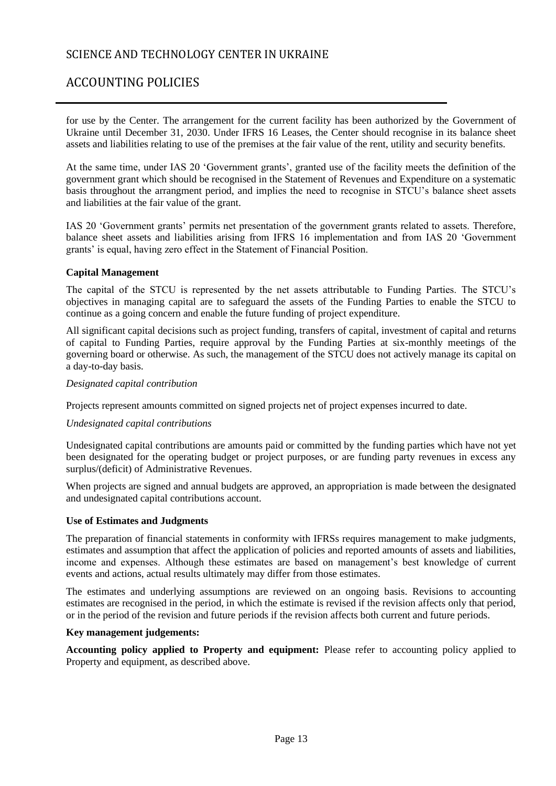# ACCOUNTING POLICIES

for use by the Center. The arrangement for the current facility has been authorized by the Government of Ukraine until December 31, 2030. Under IFRS 16 Leases, the Center should recognise in its balance sheet assets and liabilities relating to use of the premises at the fair value of the rent, utility and security benefits.

At the same time, under IAS 20 'Government grants', granted use of the facility meets the definition of the government grant which should be recognised in the Statement of Revenues and Expenditure on a systematic basis throughout the arrangment period, and implies the need to recognise in STCU's balance sheet assets and liabilities at the fair value of the grant.

IAS 20 'Government grants' permits net presentation of the government grants related to assets. Therefore, balance sheet assets and liabilities arising from IFRS 16 implementation and from IAS 20 'Government grants' is equal, having zero effect in the Statement of Financial Position.

## **Capital Management**

The capital of the STCU is represented by the net assets attributable to Funding Parties. The STCU's objectives in managing capital are to safeguard the assets of the Funding Parties to enable the STCU to continue as a going concern and enable the future funding of project expenditure.

All significant capital decisions such as project funding, transfers of capital, investment of capital and returns of capital to Funding Parties, require approval by the Funding Parties at six-monthly meetings of the governing board or otherwise. As such, the management of the STCU does not actively manage its capital on a day-to-day basis.

## *Designated capital contribution*

Projects represent amounts committed on signed projects net of project expenses incurred to date.

### *Undesignated capital contributions*

Undesignated capital contributions are amounts paid or committed by the funding parties which have not yet been designated for the operating budget or project purposes, or are funding party revenues in excess any surplus/(deficit) of Administrative Revenues.

When projects are signed and annual budgets are approved, an appropriation is made between the designated and undesignated capital contributions account.

### **Use of Estimates and Judgments**

The preparation of financial statements in conformity with IFRSs requires management to make judgments, estimates and assumption that affect the application of policies and reported amounts of assets and liabilities, income and expenses. Although these estimates are based on management's best knowledge of current events and actions, actual results ultimately may differ from those estimates.

The estimates and underlying assumptions are reviewed on an ongoing basis. Revisions to accounting estimates are recognised in the period, in which the estimate is revised if the revision affects only that period, or in the period of the revision and future periods if the revision affects both current and future periods.

### **Key management judgements:**

**Accounting policy applied to Property and equipment:** Please refer to accounting policy applied to Property and equipment, as described above.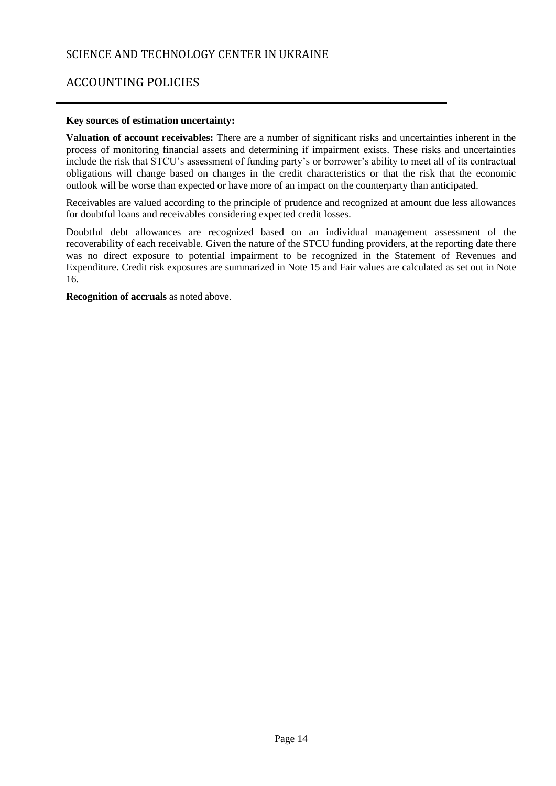# ACCOUNTING POLICIES

## **Key sources of estimation uncertainty:**

**Valuation of account receivables:** There are a number of significant risks and uncertainties inherent in the process of monitoring financial assets and determining if impairment exists. These risks and uncertainties include the risk that STCU's assessment of funding party's or borrower's ability to meet all of its contractual obligations will change based on changes in the credit characteristics or that the risk that the economic outlook will be worse than expected or have more of an impact on the counterparty than anticipated.

Receivables are valued according to the principle of prudence and recognized at amount due less allowances for doubtful loans and receivables considering expected credit losses.

Doubtful debt allowances are recognized based on an individual management assessment of the recoverability of each receivable. Given the nature of the STCU funding providers, at the reporting date there was no direct exposure to potential impairment to be recognized in the Statement of Revenues and Expenditure. Credit risk exposures are summarized in Note 15 and Fair values are calculated as set out in Note 16.

**Recognition of accruals** as noted above.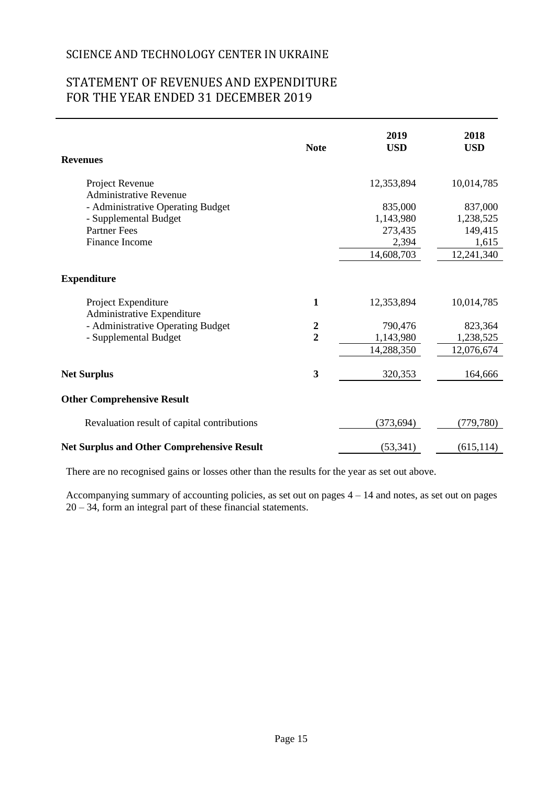# STATEMENT OF REVENUES AND EXPENDITURE FOR THE YEAR ENDED 31 DECEMBER 2019

| <b>Revenues</b>                                   | <b>Note</b>      | 2019<br><b>USD</b> | 2018<br><b>USD</b> |
|---------------------------------------------------|------------------|--------------------|--------------------|
| Project Revenue<br><b>Administrative Revenue</b>  |                  | 12,353,894         | 10,014,785         |
| - Administrative Operating Budget                 |                  | 835,000            | 837,000            |
| - Supplemental Budget                             |                  | 1,143,980          | 1,238,525          |
| <b>Partner Fees</b>                               |                  | 273,435            | 149,415            |
| Finance Income                                    |                  | 2,394              | 1,615              |
|                                                   |                  | 14,608,703         | 12,241,340         |
| <b>Expenditure</b>                                |                  |                    |                    |
| Project Expenditure<br>Administrative Expenditure | 1                | 12,353,894         | 10,014,785         |
| - Administrative Operating Budget                 | $\boldsymbol{2}$ | 790,476            | 823,364            |
| - Supplemental Budget                             | $\overline{2}$   | 1,143,980          | 1,238,525          |
|                                                   |                  | 14,288,350         | 12,076,674         |
| <b>Net Surplus</b>                                | 3                | 320,353            | 164,666            |
| <b>Other Comprehensive Result</b>                 |                  |                    |                    |
| Revaluation result of capital contributions       |                  | (373, 694)         | (779, 780)         |
| <b>Net Surplus and Other Comprehensive Result</b> |                  | (53, 341)          | (615, 114)         |

There are no recognised gains or losses other than the results for the year as set out above.

Accompanying summary of accounting policies, as set out on pages 4 – 14 and notes, as set out on pages 20 – 34, form an integral part of these financial statements.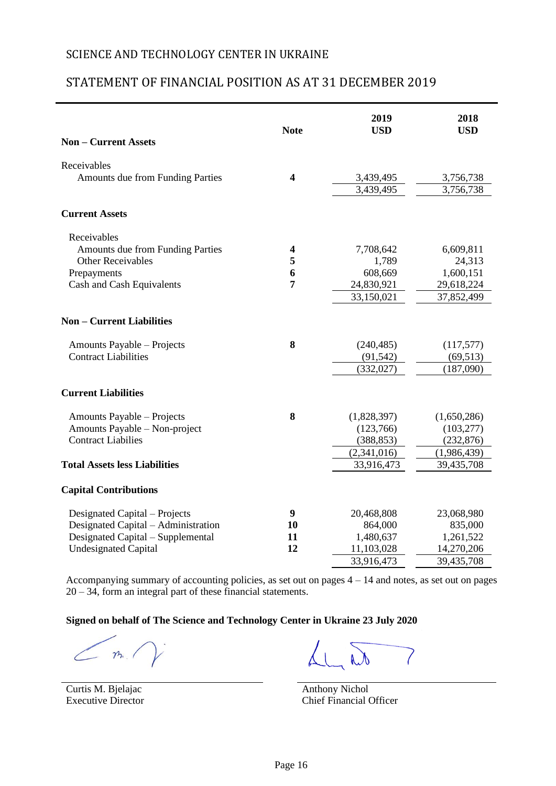# STATEMENT OF FINANCIAL POSITION AS AT 31 DECEMBER 2019

| <b>Non – Current Assets</b>          | <b>Note</b>             | 2019<br><b>USD</b> | 2018<br><b>USD</b> |
|--------------------------------------|-------------------------|--------------------|--------------------|
|                                      |                         |                    |                    |
| Receivables                          |                         |                    |                    |
| Amounts due from Funding Parties     | $\overline{\mathbf{4}}$ | 3,439,495          | 3,756,738          |
|                                      |                         | 3,439,495          | 3,756,738          |
|                                      |                         |                    |                    |
| <b>Current Assets</b>                |                         |                    |                    |
| Receivables                          |                         |                    |                    |
| Amounts due from Funding Parties     | $\overline{\mathbf{4}}$ | 7,708,642          | 6,609,811          |
| <b>Other Receivables</b>             | 5                       | 1,789              | 24,313             |
| Prepayments                          | 6                       | 608,669            | 1,600,151          |
| Cash and Cash Equivalents            | 7                       | 24,830,921         | 29,618,224         |
|                                      |                         | 33,150,021         | 37,852,499         |
|                                      |                         |                    |                    |
| <b>Non – Current Liabilities</b>     |                         |                    |                    |
|                                      |                         |                    |                    |
| Amounts Payable - Projects           | 8                       | (240, 485)         | (117,577)          |
| <b>Contract Liabilities</b>          |                         | (91, 542)          | (69, 513)          |
|                                      |                         | (332, 027)         | (187,090)          |
|                                      |                         |                    |                    |
| <b>Current Liabilities</b>           |                         |                    |                    |
|                                      |                         |                    |                    |
| Amounts Payable – Projects           | 8                       | (1,828,397)        | (1,650,286)        |
| Amounts Payable – Non-project        |                         | (123,766)          | (103, 277)         |
| <b>Contract Liabilies</b>            |                         | (388, 853)         | (232, 876)         |
|                                      |                         | (2,341,016)        | (1,986,439)        |
| <b>Total Assets less Liabilities</b> |                         | 33,916,473         | 39,435,708         |
|                                      |                         |                    |                    |
| <b>Capital Contributions</b>         |                         |                    |                    |
| Designated Capital - Projects        | 9                       | 20,468,808         | 23,068,980         |
| Designated Capital - Administration  | 10                      | 864,000            | 835,000            |
| Designated Capital - Supplemental    | 11                      | 1,480,637          | 1,261,522          |
| <b>Undesignated Capital</b>          | 12                      | 11,103,028         | 14,270,206         |
|                                      |                         | 33,916,473         | 39,435,708         |

Accompanying summary of accounting policies, as set out on pages  $4 - 14$  and notes, as set out on pages  $20 - 34$ , form an integral part of these financial statements.

**Signed on behalf of The Science and Technology Center in Ukraine 23 July 2020**

 $m_{\rm h}$ 

Curtis M. Bjelajac Executive Director

Anthony Nichol Chief Financial Officer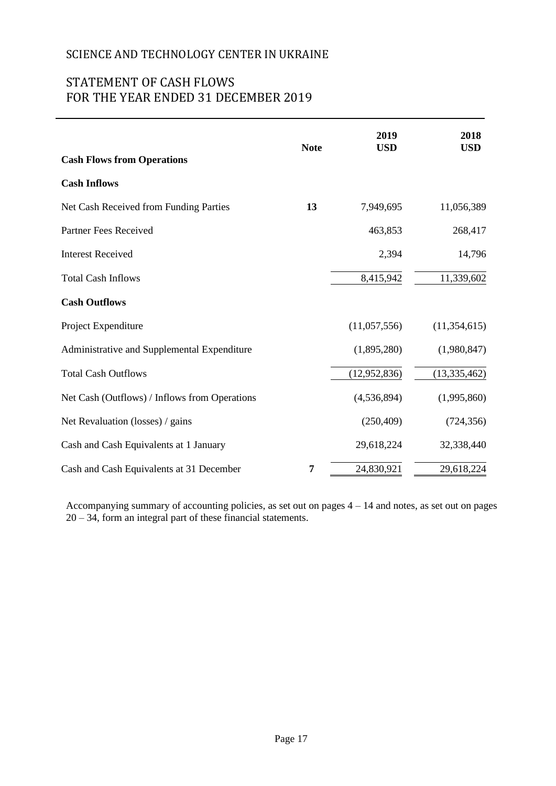# STATEMENT OF CASH FLOWS FOR THE YEAR ENDED 31 DECEMBER 2019

|                                               | <b>Note</b> | 2019<br><b>USD</b> | 2018<br><b>USD</b> |
|-----------------------------------------------|-------------|--------------------|--------------------|
| <b>Cash Flows from Operations</b>             |             |                    |                    |
| <b>Cash Inflows</b>                           |             |                    |                    |
| Net Cash Received from Funding Parties        | 13          | 7,949,695          | 11,056,389         |
| Partner Fees Received                         |             | 463,853            | 268,417            |
| <b>Interest Received</b>                      |             | 2,394              | 14,796             |
| <b>Total Cash Inflows</b>                     |             | 8,415,942          | 11,339,602         |
| <b>Cash Outflows</b>                          |             |                    |                    |
| Project Expenditure                           |             | (11,057,556)       | (11, 354, 615)     |
| Administrative and Supplemental Expenditure   |             | (1,895,280)        | (1,980,847)        |
| <b>Total Cash Outflows</b>                    |             | (12, 952, 836)     | (13, 335, 462)     |
| Net Cash (Outflows) / Inflows from Operations |             | (4,536,894)        | (1,995,860)        |
| Net Revaluation (losses) / gains              |             | (250, 409)         | (724, 356)         |
| Cash and Cash Equivalents at 1 January        |             | 29,618,224         | 32,338,440         |
| Cash and Cash Equivalents at 31 December      | 7           | 24,830,921         | 29,618,224         |

Accompanying summary of accounting policies, as set out on pages 4 – 14 and notes, as set out on pages 20 – 34, form an integral part of these financial statements.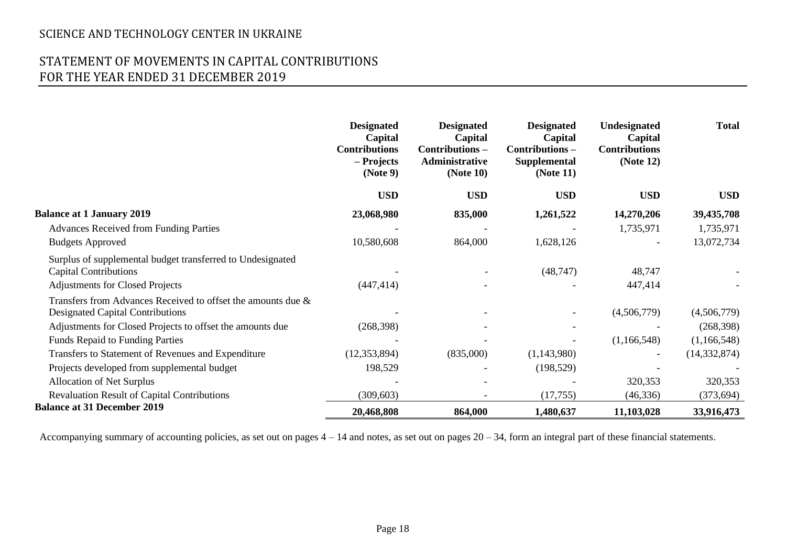# STATEMENT OF MOVEMENTS IN CAPITAL CONTRIBUTIONS FOR THE YEAR ENDED 31 DECEMBER 2019

|                                                                                                                                      | <b>Designated</b><br>Capital<br><b>Contributions</b><br>- Projects<br>(Note 9) | <b>Designated</b><br>Capital<br>Contributions -<br>Administrative<br>(Note 10) | <b>Designated</b><br>Capital<br>Contributions -<br><b>Supplemental</b><br>(Note 11) | Undesignated<br>Capital<br><b>Contributions</b><br>(Note 12) | <b>Total</b>   |
|--------------------------------------------------------------------------------------------------------------------------------------|--------------------------------------------------------------------------------|--------------------------------------------------------------------------------|-------------------------------------------------------------------------------------|--------------------------------------------------------------|----------------|
|                                                                                                                                      | <b>USD</b>                                                                     | <b>USD</b>                                                                     | <b>USD</b>                                                                          | <b>USD</b>                                                   | <b>USD</b>     |
| <b>Balance at 1 January 2019</b>                                                                                                     | 23,068,980                                                                     | 835,000                                                                        | 1,261,522                                                                           | 14,270,206                                                   | 39,435,708     |
| <b>Advances Received from Funding Parties</b>                                                                                        |                                                                                |                                                                                |                                                                                     | 1,735,971                                                    | 1,735,971      |
| <b>Budgets Approved</b>                                                                                                              | 10,580,608                                                                     | 864,000                                                                        | 1,628,126                                                                           |                                                              | 13,072,734     |
| Surplus of supplemental budget transferred to Undesignated<br><b>Capital Contributions</b><br><b>Adjustments for Closed Projects</b> | (447, 414)                                                                     |                                                                                | (48, 747)                                                                           | 48,747<br>447,414                                            |                |
| Transfers from Advances Received to offset the amounts due &<br>Designated Capital Contributions                                     |                                                                                |                                                                                |                                                                                     | (4,506,779)                                                  | (4,506,779)    |
| Adjustments for Closed Projects to offset the amounts due                                                                            | (268, 398)                                                                     |                                                                                |                                                                                     |                                                              | (268, 398)     |
| <b>Funds Repaid to Funding Parties</b>                                                                                               |                                                                                |                                                                                |                                                                                     | (1,166,548)                                                  | (1,166,548)    |
| Transfers to Statement of Revenues and Expenditure                                                                                   | (12, 353, 894)                                                                 | (835,000)                                                                      | (1, 143, 980)                                                                       |                                                              | (14, 332, 874) |
| Projects developed from supplemental budget                                                                                          | 198,529                                                                        |                                                                                | (198, 529)                                                                          |                                                              |                |
| <b>Allocation of Net Surplus</b>                                                                                                     |                                                                                |                                                                                |                                                                                     | 320,353                                                      | 320,353        |
| <b>Revaluation Result of Capital Contributions</b>                                                                                   | (309, 603)                                                                     |                                                                                | (17,755)                                                                            | (46, 336)                                                    | (373, 694)     |
| <b>Balance at 31 December 2019</b>                                                                                                   | 20,468,808                                                                     | 864,000                                                                        | 1,480,637                                                                           | 11,103,028                                                   | 33,916,473     |

Accompanying summary of accounting policies, as set out on pages  $4 - 14$  and notes, as set out on pages  $20 - 34$ , form an integral part of these financial statements.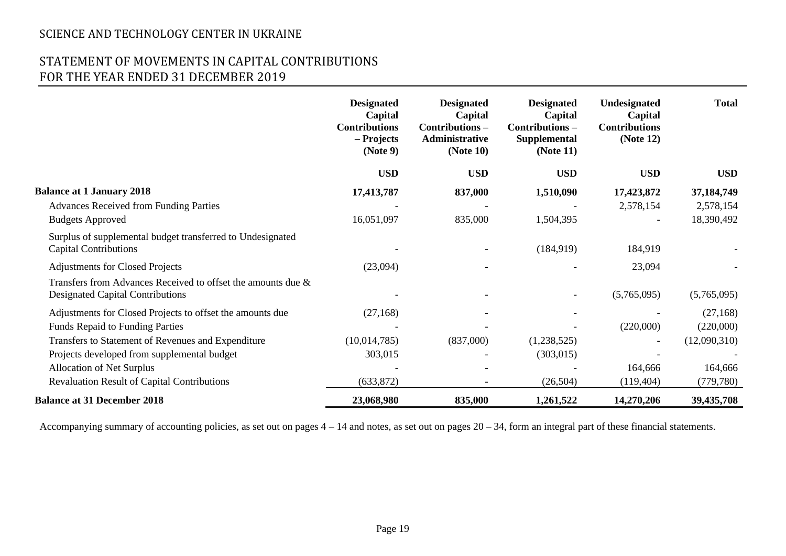# STATEMENT OF MOVEMENTS IN CAPITAL CONTRIBUTIONS FOR THE YEAR ENDED 31 DECEMBER 2019

|                                                                                                  | <b>Designated</b><br>Capital<br><b>Contributions</b><br>- Projects<br>(Note 9) | <b>Designated</b><br>Capital<br>Contributions-<br>Administrative<br>(Note 10) | <b>Designated</b><br>Capital<br>Contributions-<br>Supplemental<br>(Note 11) | <b>Undesignated</b><br>Capital<br><b>Contributions</b><br>(Note 12) | <b>Total</b> |
|--------------------------------------------------------------------------------------------------|--------------------------------------------------------------------------------|-------------------------------------------------------------------------------|-----------------------------------------------------------------------------|---------------------------------------------------------------------|--------------|
|                                                                                                  | <b>USD</b>                                                                     | <b>USD</b>                                                                    | <b>USD</b>                                                                  | <b>USD</b>                                                          | <b>USD</b>   |
| <b>Balance at 1 January 2018</b>                                                                 | 17,413,787                                                                     | 837,000                                                                       | 1,510,090                                                                   | 17,423,872                                                          | 37, 184, 749 |
| <b>Advances Received from Funding Parties</b>                                                    |                                                                                |                                                                               |                                                                             | 2,578,154                                                           | 2,578,154    |
| <b>Budgets Approved</b>                                                                          | 16,051,097                                                                     | 835,000                                                                       | 1,504,395                                                                   |                                                                     | 18,390,492   |
| Surplus of supplemental budget transferred to Undesignated<br>Capital Contributions              |                                                                                |                                                                               | (184, 919)                                                                  | 184,919                                                             |              |
| <b>Adjustments for Closed Projects</b>                                                           | (23,094)                                                                       |                                                                               |                                                                             | 23,094                                                              |              |
| Transfers from Advances Received to offset the amounts due &<br>Designated Capital Contributions |                                                                                |                                                                               |                                                                             | (5,765,095)                                                         | (5,765,095)  |
| Adjustments for Closed Projects to offset the amounts due                                        | (27, 168)                                                                      |                                                                               |                                                                             |                                                                     | (27, 168)    |
| <b>Funds Repaid to Funding Parties</b>                                                           |                                                                                |                                                                               |                                                                             | (220,000)                                                           | (220,000)    |
| Transfers to Statement of Revenues and Expenditure                                               | (10,014,785)                                                                   | (837,000)                                                                     | (1,238,525)                                                                 |                                                                     | (12,090,310) |
| Projects developed from supplemental budget                                                      | 303,015                                                                        |                                                                               | (303,015)                                                                   |                                                                     |              |
| <b>Allocation of Net Surplus</b>                                                                 |                                                                                |                                                                               |                                                                             | 164,666                                                             | 164,666      |
| <b>Revaluation Result of Capital Contributions</b>                                               | (633, 872)                                                                     |                                                                               | (26, 504)                                                                   | (119, 404)                                                          | (779, 780)   |
| <b>Balance at 31 December 2018</b>                                                               | 23,068,980                                                                     | 835,000                                                                       | 1,261,522                                                                   | 14,270,206                                                          | 39,435,708   |

Accompanying summary of accounting policies, as set out on pages  $4 - 14$  and notes, as set out on pages  $20 - 34$ , form an integral part of these financial statements.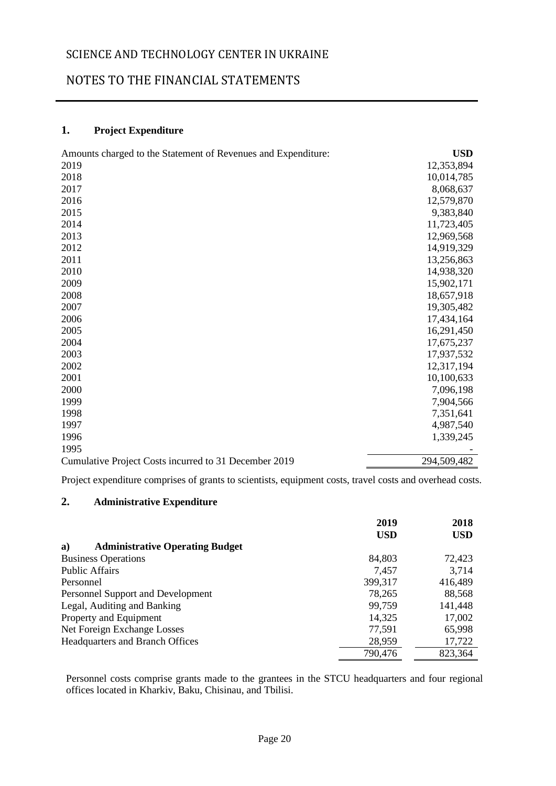# NOTES TO THE FINANCIAL STATEMENTS

## **1. Project Expenditure**

| Amounts charged to the Statement of Revenues and Expenditure: | <b>USD</b>  |
|---------------------------------------------------------------|-------------|
| 2019                                                          | 12,353,894  |
| 2018                                                          | 10,014,785  |
| 2017                                                          | 8,068,637   |
| 2016                                                          | 12,579,870  |
| 2015                                                          | 9,383,840   |
| 2014                                                          | 11,723,405  |
| 2013                                                          | 12,969,568  |
| 2012                                                          | 14,919,329  |
| 2011                                                          | 13,256,863  |
| 2010                                                          | 14,938,320  |
| 2009                                                          | 15,902,171  |
| 2008                                                          | 18,657,918  |
| 2007                                                          | 19,305,482  |
| 2006                                                          | 17,434,164  |
| 2005                                                          | 16,291,450  |
| 2004                                                          | 17,675,237  |
| 2003                                                          | 17,937,532  |
| 2002                                                          | 12,317,194  |
| 2001                                                          | 10,100,633  |
| 2000                                                          | 7,096,198   |
| 1999                                                          | 7,904,566   |
| 1998                                                          | 7,351,641   |
| 1997                                                          | 4,987,540   |
| 1996                                                          | 1,339,245   |
| 1995                                                          |             |
| Cumulative Project Costs incurred to 31 December 2019         | 294,509,482 |

Project expenditure comprises of grants to scientists, equipment costs, travel costs and overhead costs.

## **2. Administrative Expenditure**

|                                              | 2019       | 2018       |
|----------------------------------------------|------------|------------|
|                                              | <b>USD</b> | <b>USD</b> |
| <b>Administrative Operating Budget</b><br>a) |            |            |
| <b>Business Operations</b>                   | 84,803     | 72,423     |
| <b>Public Affairs</b>                        | 7,457      | 3,714      |
| Personnel                                    | 399,317    | 416,489    |
| Personnel Support and Development            | 78,265     | 88,568     |
| Legal, Auditing and Banking                  | 99,759     | 141,448    |
| Property and Equipment                       | 14,325     | 17,002     |
| Net Foreign Exchange Losses                  | 77,591     | 65,998     |
| Headquarters and Branch Offices              | 28,959     | 17,722     |
|                                              | 790,476    | 823,364    |

Personnel costs comprise grants made to the grantees in the STCU headquarters and four regional offices located in Kharkiv, Baku, Chisinau, and Tbilisi.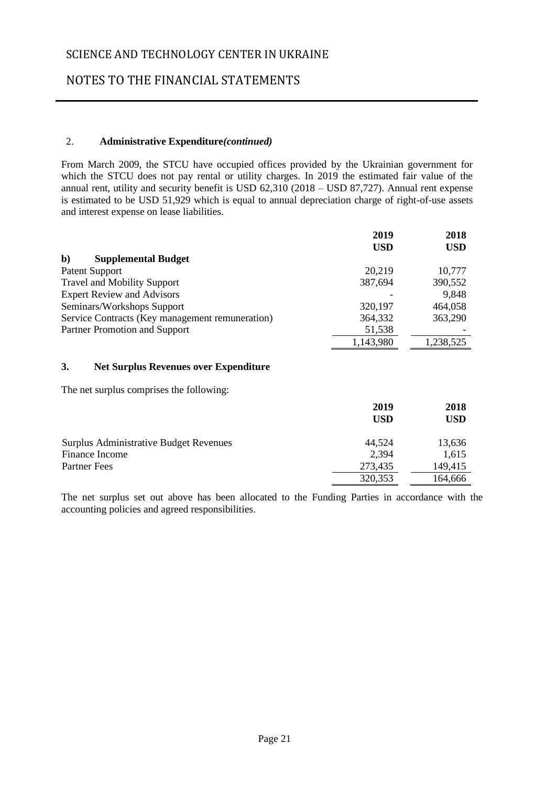# NOTES TO THE FINANCIAL STATEMENTS

## 2. **Administrative Expenditure***(continued)*

From March 2009, the STCU have occupied offices provided by the Ukrainian government for which the STCU does not pay rental or utility charges. In 2019 the estimated fair value of the annual rent, utility and security benefit is USD 62,310 (2018 – USD 87,727). Annual rent expense is estimated to be USD 51,929 which is equal to annual depreciation charge of right-of-use assets and interest expense on lease liabilities.

|                                                 | 2019<br><b>USD</b> | 2018<br><b>USD</b> |
|-------------------------------------------------|--------------------|--------------------|
| $\mathbf{b}$<br><b>Supplemental Budget</b>      |                    |                    |
| Patent Support                                  | 20,219             | 10,777             |
| <b>Travel and Mobility Support</b>              | 387,694            | 390,552            |
| <b>Expert Review and Advisors</b>               |                    | 9,848              |
| Seminars/Workshops Support                      | 320,197            | 464,058            |
| Service Contracts (Key management remuneration) | 364,332            | 363,290            |
| Partner Promotion and Support                   | 51,538             |                    |
|                                                 | 1,143,980          | 1,238,525          |

## **3. Net Surplus Revenues over Expenditure**

The net surplus comprises the following:

|                                        | 2019       | 2018    |
|----------------------------------------|------------|---------|
|                                        | <b>USD</b> | USD     |
| Surplus Administrative Budget Revenues | 44.524     | 13,636  |
| Finance Income                         | 2,394      | 1,615   |
| Partner Fees                           | 273,435    | 149.415 |
|                                        | 320,353    | 164,666 |

The net surplus set out above has been allocated to the Funding Parties in accordance with the accounting policies and agreed responsibilities.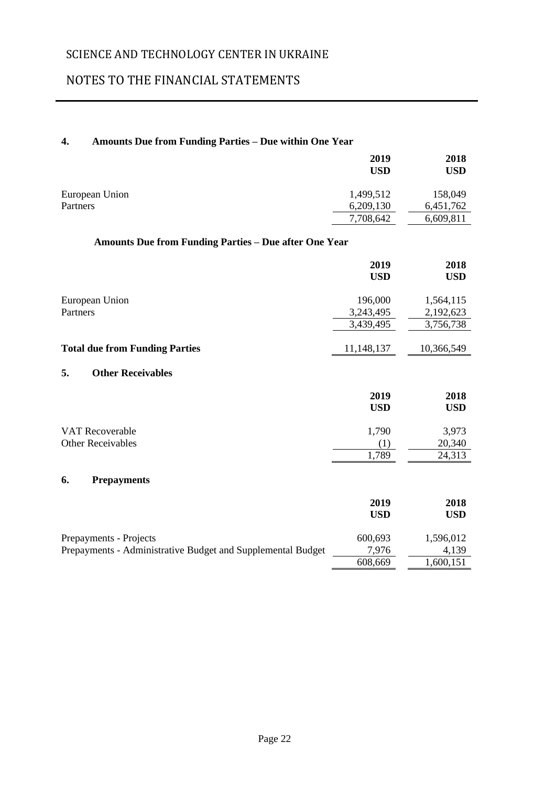# NOTES TO THE FINANCIAL STATEMENTS

## **4. Amounts Due from Funding Parties – Due within One Year**

|                | 2019<br><b>USD</b> | 2018<br>USD |
|----------------|--------------------|-------------|
| European Union | 1,499,512          | 158,049     |
| Partners       | 6,209,130          | 6,451,762   |
|                | 7,708,642          | 6,609,811   |

## **Amounts Due from Funding Parties – Due after One Year**

|                                                                                       | 2019<br><b>USD</b>                | 2018<br><b>USD</b>                  |
|---------------------------------------------------------------------------------------|-----------------------------------|-------------------------------------|
| European Union<br>Partners                                                            | 196,000<br>3,243,495<br>3,439,495 | 1,564,115<br>2,192,623<br>3,756,738 |
| <b>Total due from Funding Parties</b>                                                 | 11,148,137                        | 10,366,549                          |
| <b>Other Receivables</b><br>5.                                                        |                                   |                                     |
|                                                                                       | 2019<br><b>USD</b>                | 2018<br><b>USD</b>                  |
| VAT Recoverable<br>Other Receivables                                                  | 1,790<br>(1)<br>1,789             | 3,973<br>20,340<br>24,313           |
| 6.<br><b>Prepayments</b>                                                              |                                   |                                     |
|                                                                                       | 2019<br><b>USD</b>                | 2018<br><b>USD</b>                  |
| Prepayments - Projects<br>Prepayments - Administrative Budget and Supplemental Budget | 600,693<br>7,976<br>608,669       | 1,596,012<br>4,139<br>1,600,151     |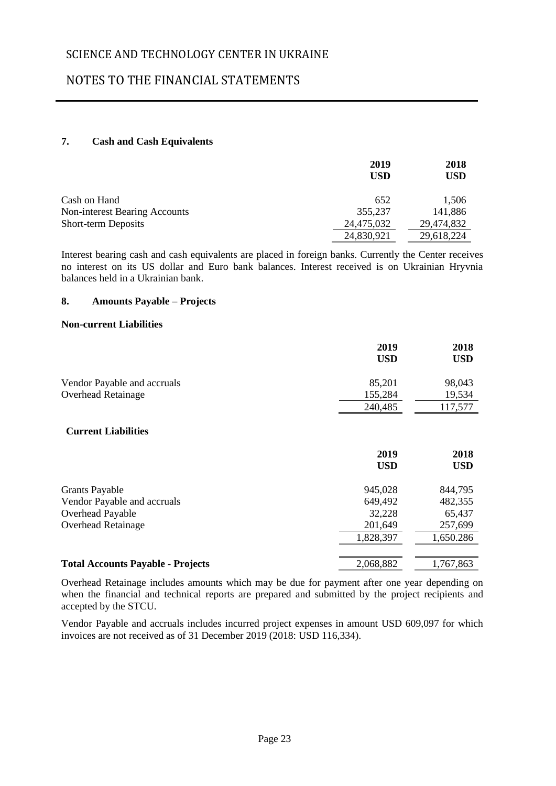# NOTES TO THE FINANCIAL STATEMENTS

## **7. Cash and Cash Equivalents**

|                               | 2019<br><b>USD</b> | 2018<br>USD |
|-------------------------------|--------------------|-------------|
| Cash on Hand                  | 652                | 1,506       |
| Non-interest Bearing Accounts | 355,237            | 141,886     |
| <b>Short-term Deposits</b>    | 24,475,032         | 29,474,832  |
|                               | 24,830,921         | 29,618,224  |

Interest bearing cash and cash equivalents are placed in foreign banks. Currently the Center receives no interest on its US dollar and Euro bank balances. Interest received is on Ukrainian Hryvnia balances held in a Ukrainian bank.

## **8. Amounts Payable – Projects**

### **Non-current Liabilities**

|                             | 2019<br><b>USD</b> | 2018<br><b>USD</b> |
|-----------------------------|--------------------|--------------------|
| Vendor Payable and accruals | 85,201             | 98,043             |
| <b>Overhead Retainage</b>   | 155,284            | 19,534             |
|                             | 240,485            | 117,577            |
| <b>Current Liabilities</b>  |                    |                    |
|                             | 2019               | 2018               |
|                             | <b>USD</b>         | <b>USD</b>         |
| <b>Grants Payable</b>       | 945,028            | 844,795            |
| Vendor Payable and accruals | 649,492            | 482,355            |
| <b>Overhead Payable</b>     | 32,228             | 65,437             |

| <b>Overhead Retainage</b>                | 201,649   | 257,699   |
|------------------------------------------|-----------|-----------|
|                                          | 1,828,397 | 1.650.286 |
|                                          |           |           |
| <b>Total Accounts Payable - Projects</b> | 2,068,882 | 1,767,863 |

Overhead Retainage includes amounts which may be due for payment after one year depending on when the financial and technical reports are prepared and submitted by the project recipients and accepted by the STCU.

Vendor Payable and accruals includes incurred project expenses in amount USD 609,097 for which invoices are not received as of 31 December 2019 (2018: USD 116,334).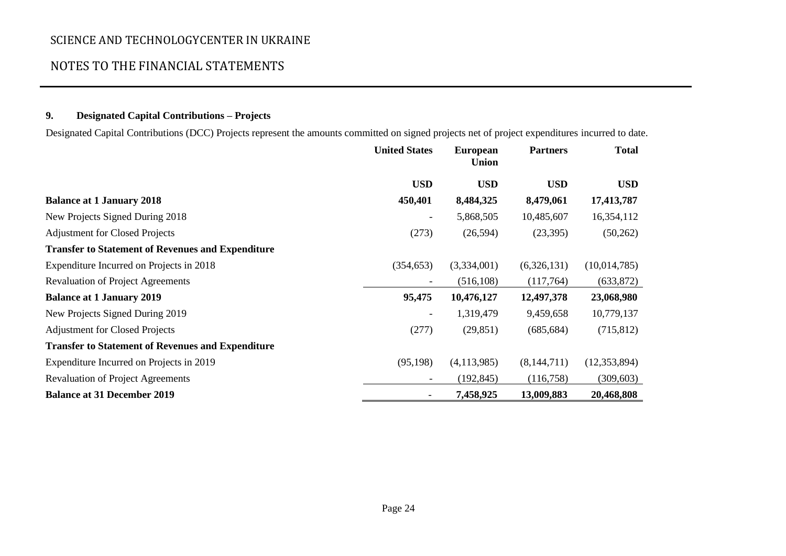# NOTES TO THE FINANCIAL STATEMENTS

## **9. Designated Capital Contributions – Projects**

Designated Capital Contributions (DCC) Projects represent the amounts committed on signed projects net of project expenditures incurred to date.

|                                                          | <b>United States</b>     | <b>European</b><br><b>Union</b> | <b>Partners</b> | <b>Total</b>   |
|----------------------------------------------------------|--------------------------|---------------------------------|-----------------|----------------|
|                                                          | <b>USD</b>               | <b>USD</b>                      | <b>USD</b>      | <b>USD</b>     |
| <b>Balance at 1 January 2018</b>                         | 450,401                  | 8,484,325                       | 8,479,061       | 17,413,787     |
| New Projects Signed During 2018                          | $\overline{\phantom{a}}$ | 5,868,505                       | 10,485,607      | 16,354,112     |
| <b>Adjustment for Closed Projects</b>                    | (273)                    | (26, 594)                       | (23,395)        | (50, 262)      |
| <b>Transfer to Statement of Revenues and Expenditure</b> |                          |                                 |                 |                |
| Expenditure Incurred on Projects in 2018                 | (354, 653)               | (3,334,001)                     | (6,326,131)     | (10,014,785)   |
| <b>Revaluation of Project Agreements</b>                 |                          | (516, 108)                      | (117,764)       | (633, 872)     |
| <b>Balance at 1 January 2019</b>                         | 95,475                   | 10,476,127                      | 12,497,378      | 23,068,980     |
| New Projects Signed During 2019                          | $\overline{\phantom{a}}$ | 1,319,479                       | 9,459,658       | 10,779,137     |
| <b>Adjustment for Closed Projects</b>                    | (277)                    | (29, 851)                       | (685, 684)      | (715, 812)     |
| <b>Transfer to Statement of Revenues and Expenditure</b> |                          |                                 |                 |                |
| Expenditure Incurred on Projects in 2019                 | (95, 198)                | (4,113,985)                     | (8,144,711)     | (12, 353, 894) |
| Revaluation of Project Agreements                        | $\overline{\phantom{a}}$ | (192, 845)                      | (116,758)       | (309, 603)     |
| <b>Balance at 31 December 2019</b>                       |                          | 7,458,925                       | 13,009,883      | 20,468,808     |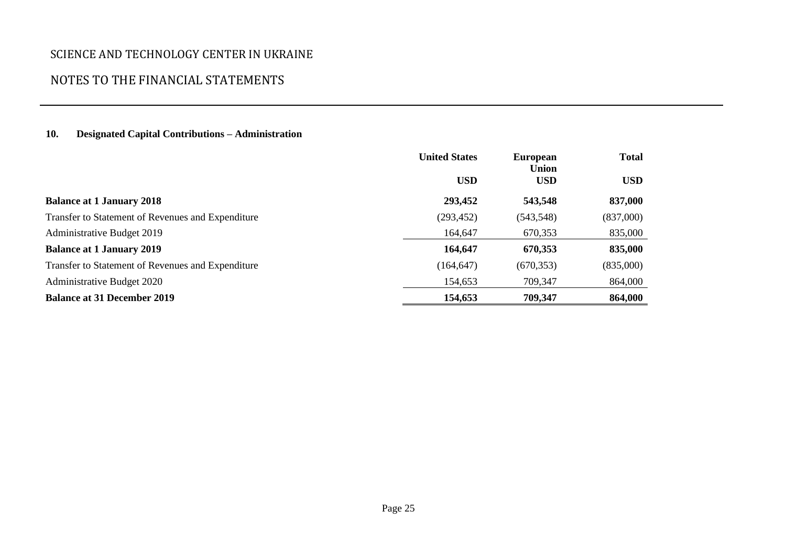# NOTES TO THE FINANCIAL STATEMENTS

## **10. Designated Capital Contributions – Administration**

|                                                   | <b>United States</b> | <b>European</b><br><b>Union</b> | <b>Total</b> |
|---------------------------------------------------|----------------------|---------------------------------|--------------|
|                                                   | <b>USD</b>           | <b>USD</b>                      | <b>USD</b>   |
| <b>Balance at 1 January 2018</b>                  | 293,452              | 543,548                         | 837,000      |
| Transfer to Statement of Revenues and Expenditure | (293, 452)           | (543, 548)                      | (837,000)    |
| Administrative Budget 2019                        | 164,647              | 670,353                         | 835,000      |
| <b>Balance at 1 January 2019</b>                  | 164,647              | 670,353                         | 835,000      |
| Transfer to Statement of Revenues and Expenditure | (164, 647)           | (670, 353)                      | (835,000)    |
| Administrative Budget 2020                        | 154,653              | 709,347                         | 864,000      |
| <b>Balance at 31 December 2019</b>                | 154,653              | 709,347                         | 864,000      |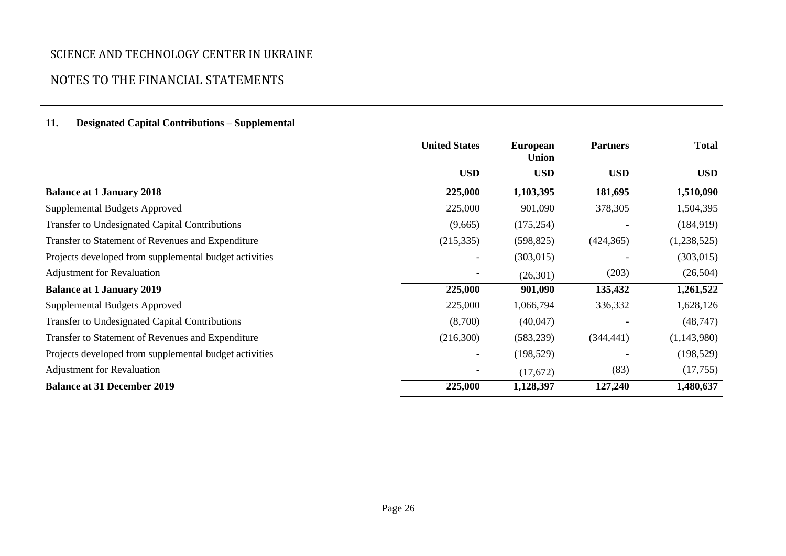# NOTES TO THE FINANCIAL STATEMENTS

## **11. Designated Capital Contributions – Supplemental**

|                                                        | <b>United States</b> | <b>European</b><br><b>Union</b> | <b>Partners</b> | <b>Total</b> |
|--------------------------------------------------------|----------------------|---------------------------------|-----------------|--------------|
|                                                        | <b>USD</b>           | <b>USD</b>                      | <b>USD</b>      | <b>USD</b>   |
| <b>Balance at 1 January 2018</b>                       | 225,000              | 1,103,395                       | 181,695         | 1,510,090    |
| Supplemental Budgets Approved                          | 225,000              | 901,090                         | 378,305         | 1,504,395    |
| <b>Transfer to Undesignated Capital Contributions</b>  | (9,665)              | (175, 254)                      |                 | (184, 919)   |
| Transfer to Statement of Revenues and Expenditure      | (215, 335)           | (598, 825)                      | (424, 365)      | (1,238,525)  |
| Projects developed from supplemental budget activities |                      | (303, 015)                      |                 | (303,015)    |
| <b>Adjustment for Revaluation</b>                      |                      | (26,301)                        | (203)           | (26,504)     |
| <b>Balance at 1 January 2019</b>                       | 225,000              | 901,090                         | 135,432         | 1,261,522    |
| Supplemental Budgets Approved                          | 225,000              | 1,066,794                       | 336,332         | 1,628,126    |
| <b>Transfer to Undesignated Capital Contributions</b>  | (8,700)              | (40,047)                        |                 | (48, 747)    |
| Transfer to Statement of Revenues and Expenditure      | (216,300)            | (583, 239)                      | (344, 441)      | (1,143,980)  |
| Projects developed from supplemental budget activities |                      | (198, 529)                      |                 | (198, 529)   |
| <b>Adjustment for Revaluation</b>                      |                      | (17,672)                        | (83)            | (17,755)     |
| <b>Balance at 31 December 2019</b>                     | 225,000              | 1,128,397                       | 127,240         | 1,480,637    |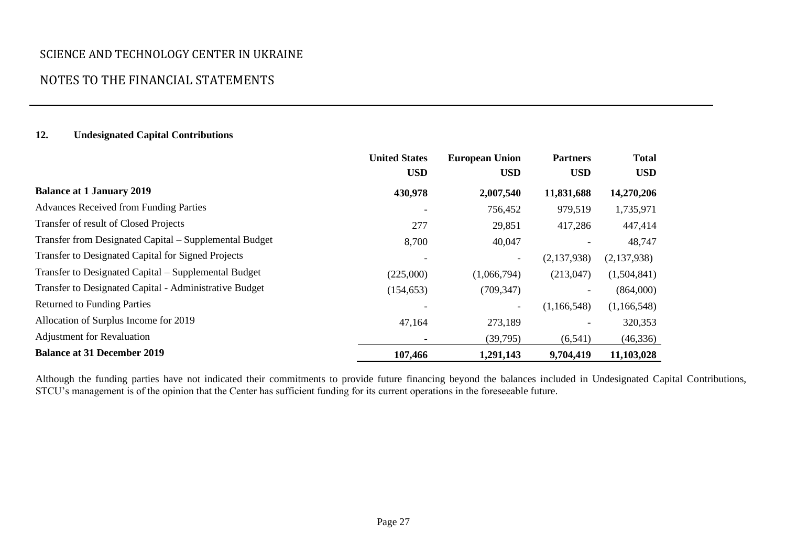# NOTES TO THE FINANCIAL STATEMENTS

## **12. Undesignated Capital Contributions**

|                                                        | <b>United States</b>     | <b>European Union</b>    | <b>Partners</b> | <b>Total</b> |
|--------------------------------------------------------|--------------------------|--------------------------|-----------------|--------------|
|                                                        | <b>USD</b>               | <b>USD</b>               | <b>USD</b>      | <b>USD</b>   |
| <b>Balance at 1 January 2019</b>                       | 430,978                  | 2,007,540                | 11,831,688      | 14,270,206   |
| <b>Advances Received from Funding Parties</b>          | $\overline{\phantom{a}}$ | 756,452                  | 979,519         | 1,735,971    |
| Transfer of result of Closed Projects                  | 277                      | 29,851                   | 417,286         | 447,414      |
| Transfer from Designated Capital – Supplemental Budget | 8,700                    | 40,047                   |                 | 48,747       |
| Transfer to Designated Capital for Signed Projects     | -                        |                          | (2, 137, 938)   | (2,137,938)  |
| Transfer to Designated Capital – Supplemental Budget   | (225,000)                | (1,066,794)              | (213, 047)      | (1,504,841)  |
| Transfer to Designated Capital - Administrative Budget | (154, 653)               | (709, 347)               |                 | (864,000)    |
| <b>Returned to Funding Parties</b>                     | -                        | $\overline{\phantom{a}}$ | (1,166,548)     | (1,166,548)  |
| Allocation of Surplus Income for 2019                  | 47,164                   | 273,189                  |                 | 320,353      |
| <b>Adjustment for Revaluation</b>                      | $\overline{\phantom{a}}$ | (39,795)                 | (6,541)         | (46,336)     |
| <b>Balance at 31 December 2019</b>                     | 107,466                  | 1,291,143                | 9,704,419       | 11,103,028   |

Although the funding parties have not indicated their commitments to provide future financing beyond the balances included in Undesignated Capital Contributions, STCU's management is of the opinion that the Center has sufficient funding for its current operations in the foreseeable future.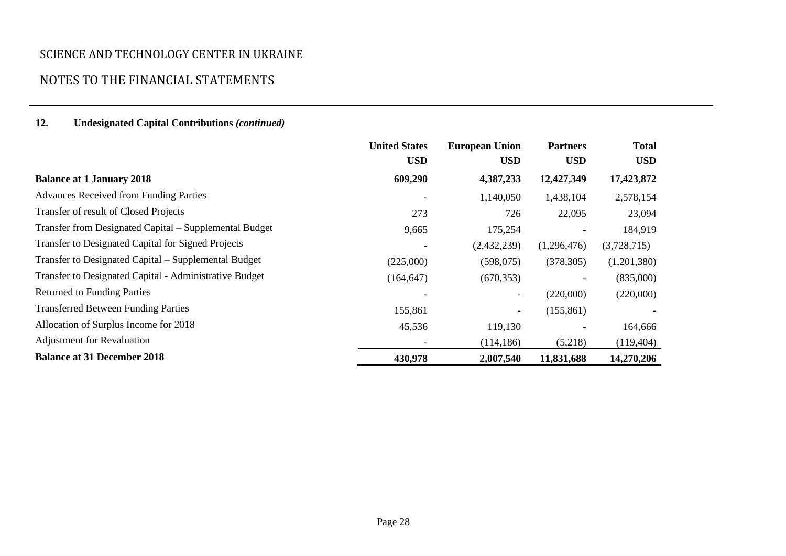# NOTES TO THE FINANCIAL STATEMENTS

## **12. Undesignated Capital Contributions** *(continued)*

|                                                        | <b>United States</b>     | <b>European Union</b>    | <b>Partners</b> | <b>Total</b> |
|--------------------------------------------------------|--------------------------|--------------------------|-----------------|--------------|
|                                                        | <b>USD</b>               | <b>USD</b>               | <b>USD</b>      | <b>USD</b>   |
| <b>Balance at 1 January 2018</b>                       | 609,290                  | 4,387,233                | 12,427,349      | 17,423,872   |
| <b>Advances Received from Funding Parties</b>          |                          | 1,140,050                | 1,438,104       | 2,578,154    |
| Transfer of result of Closed Projects                  | 273                      | 726                      | 22,095          | 23,094       |
| Transfer from Designated Capital – Supplemental Budget | 9,665                    | 175,254                  |                 | 184,919      |
| Transfer to Designated Capital for Signed Projects     |                          | (2,432,239)              | (1,296,476)     | (3,728,715)  |
| Transfer to Designated Capital – Supplemental Budget   | (225,000)                | (598, 075)               | (378, 305)      | (1,201,380)  |
| Transfer to Designated Capital - Administrative Budget | (164, 647)               | (670, 353)               |                 | (835,000)    |
| <b>Returned to Funding Parties</b>                     |                          | $\overline{\phantom{a}}$ | (220,000)       | (220,000)    |
| <b>Transferred Between Funding Parties</b>             | 155,861                  | $\overline{\phantom{a}}$ | (155, 861)      |              |
| Allocation of Surplus Income for 2018                  | 45,536                   | 119,130                  |                 | 164,666      |
| <b>Adjustment for Revaluation</b>                      | $\overline{\phantom{a}}$ | (114, 186)               | (5,218)         | (119, 404)   |
| <b>Balance at 31 December 2018</b>                     | 430,978                  | 2,007,540                | 11,831,688      | 14,270,206   |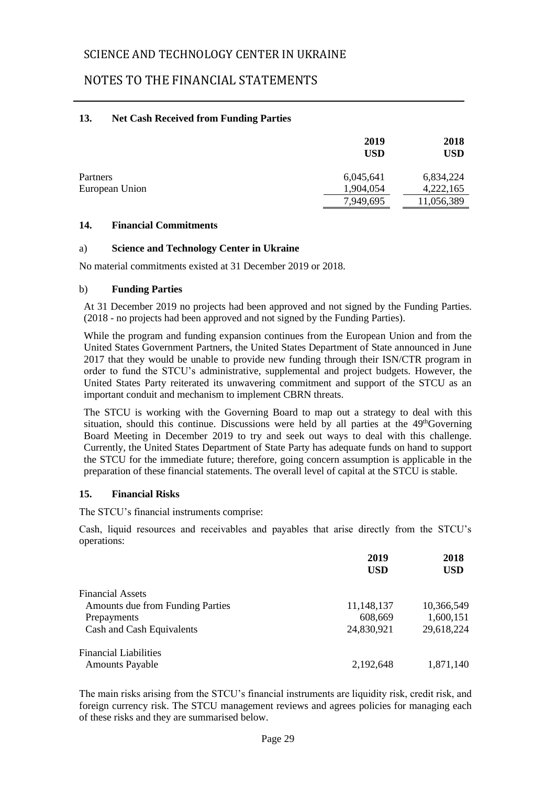## NOTES TO THE FINANCIAL STATEMENTS

## **13. Net Cash Received from Funding Parties**

|                | 2019<br><b>USD</b> | 2018<br>USD |
|----------------|--------------------|-------------|
| Partners       | 6,045,641          | 6,834,224   |
| European Union | 1,904,054          | 4,222,165   |
|                | 7,949,695          | 11,056,389  |

## **14. Financial Commitments**

## a) **Science and Technology Center in Ukraine**

No material commitments existed at 31 December 2019 or 2018.

## b) **Funding Parties**

At 31 December 2019 no projects had been approved and not signed by the Funding Parties. (2018 - no projects had been approved and not signed by the Funding Parties).

While the program and funding expansion continues from the European Union and from the United States Government Partners, the United States Department of State announced in June 2017 that they would be unable to provide new funding through their ISN/CTR program in order to fund the STCU's administrative, supplemental and project budgets. However, the United States Party reiterated its unwavering commitment and support of the STCU as an important conduit and mechanism to implement CBRN threats.

The STCU is working with the Governing Board to map out a strategy to deal with this situation, should this continue. Discussions were held by all parties at the 49<sup>th</sup>Governing Board Meeting in December 2019 to try and seek out ways to deal with this challenge. Currently, the United States Department of State Party has adequate funds on hand to support the STCU for the immediate future; therefore, going concern assumption is applicable in the preparation of these financial statements. The overall level of capital at the STCU is stable.

### **15. Financial Risks**

The STCU's financial instruments comprise:

Cash, liquid resources and receivables and payables that arise directly from the STCU's operations:

|                                         | 2019<br><b>USD</b> | 2018<br><b>USD</b> |
|-----------------------------------------|--------------------|--------------------|
| <b>Financial Assets</b>                 |                    |                    |
| <b>Amounts due from Funding Parties</b> | 11,148,137         | 10,366,549         |
| Prepayments                             | 608,669            | 1,600,151          |
| Cash and Cash Equivalents               | 24,830,921         | 29,618,224         |
| Financial Liabilities                   |                    |                    |
| <b>Amounts Payable</b>                  | 2,192,648          | 1,871,140          |

The main risks arising from the STCU's financial instruments are liquidity risk, credit risk, and foreign currency risk. The STCU management reviews and agrees policies for managing each of these risks and they are summarised below.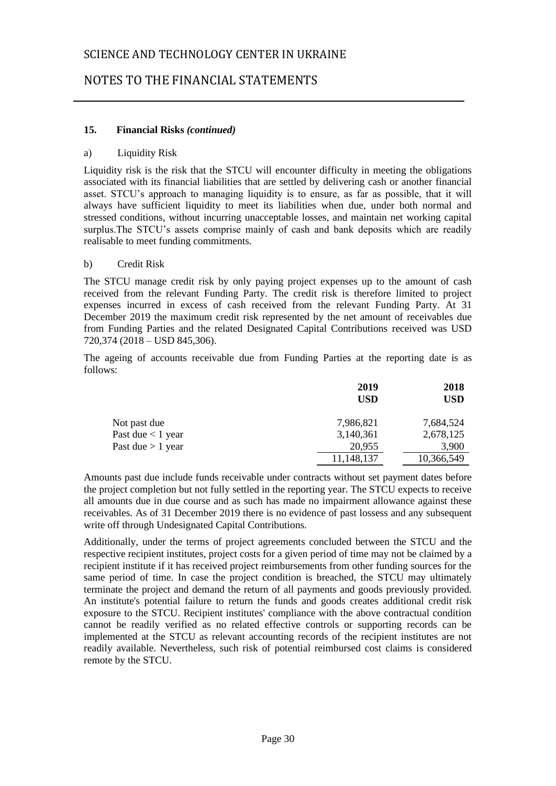# NOTES TO THE FINANCIAL STATEMENTS

## **15. Financial Risks** *(continued)*

### a) Liquidity Risk

Liquidity risk is the risk that the STCU will encounter difficulty in meeting the obligations associated with its financial liabilities that are settled by delivering cash or another financial asset. STCU's approach to managing liquidity is to ensure, as far as possible, that it will always have sufficient liquidity to meet its liabilities when due, under both normal and stressed conditions, without incurring unacceptable losses, and maintain net working capital surplus.The STCU's assets comprise mainly of cash and bank deposits which are readily realisable to meet funding commitments.

## b) Credit Risk

The STCU manage credit risk by only paying project expenses up to the amount of cash received from the relevant Funding Party. The credit risk is therefore limited to project expenses incurred in excess of cash received from the relevant Funding Party. At 31 December 2019 the maximum credit risk represented by the net amount of receivables due from Funding Parties and the related Designated Capital Contributions received was USD 720,374 (2018 – USD 845,306).

The ageing of accounts receivable due from Funding Parties at the reporting date is as follows:

|                     | 2019<br><b>USD</b> | 2018<br><b>USD</b> |
|---------------------|--------------------|--------------------|
|                     |                    |                    |
| Not past due        | 7,986,821          | 7,684,524          |
| Past due $< 1$ year | 3,140,361          | 2,678,125          |
| Past due $> 1$ year | 20,955             | 3,900              |
|                     | 11,148,137         | 10,366,549         |

Amounts past due include funds receivable under contracts without set payment dates before the project completion but not fully settled in the reporting year. The STCU expects to receive all amounts due in due course and as such has made no impairment allowance against these receivables. As of 31 December 2019 there is no evidence of past lossess and any subsequent write off through Undesignated Capital Contributions.

Additionally, under the terms of project agreements concluded between the STCU and the respective recipient institutes, project costs for a given period of time may not be claimed by a recipient institute if it has received project reimbursements from other funding sources for the same period of time. In case the project condition is breached, the STCU may ultimately terminate the project and demand the return of all payments and goods previously provided. An institute's potential failure to return the funds and goods creates additional credit risk exposure to the STCU. Recipient institutes' compliance with the above contractual condition cannot be readily verified as no related effective controls or supporting records can be implemented at the STCU as relevant accounting records of the recipient institutes are not readily available. Nevertheless, such risk of potential reimbursed cost claims is considered remote by the STCU.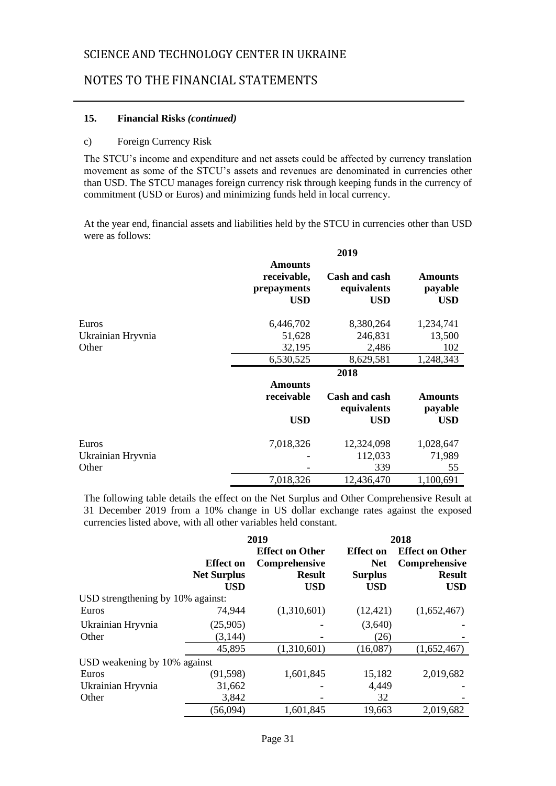# NOTES TO THE FINANCIAL STATEMENTS

## **15. Financial Risks** *(continued)*

## c) Foreign Currency Risk

The STCU's income and expenditure and net assets could be affected by currency translation movement as some of the STCU's assets and revenues are denominated in currencies other than USD. The STCU manages foreign currency risk through keeping funds in the currency of commitment (USD or Euros) and minimizing funds held in local currency.

At the year end, financial assets and liabilities held by the STCU in currencies other than USD were as follows:

|                   | 2019                                                       |                                            |                                         |  |
|-------------------|------------------------------------------------------------|--------------------------------------------|-----------------------------------------|--|
|                   | <b>Amounts</b><br>receivable,<br>prepayments<br><b>USD</b> | Cash and cash<br>equivalents<br><b>USD</b> | <b>Amounts</b><br>payable<br><b>USD</b> |  |
| Euros             | 6,446,702                                                  | 8,380,264                                  | 1,234,741                               |  |
| Ukrainian Hryvnia | 51,628                                                     | 246,831                                    | 13,500                                  |  |
| Other             | 32,195                                                     | 2,486                                      | 102                                     |  |
|                   | 6,530,525                                                  | 8,629,581                                  | 1,248,343                               |  |
|                   |                                                            | 2018                                       |                                         |  |
|                   | <b>Amounts</b><br>receivable                               | Cash and cash<br>equivalents               | <b>Amounts</b><br>payable               |  |
|                   | <b>USD</b>                                                 | <b>USD</b>                                 | <b>USD</b>                              |  |
| Euros             | 7,018,326                                                  | 12,324,098                                 | 1,028,647                               |  |
| Ukrainian Hryvnia |                                                            | 112,033                                    | 71,989                                  |  |
| Other             |                                                            | 339                                        | 55                                      |  |
|                   | 7,018,326                                                  | 12,436,470                                 | 1,100,691                               |  |

The following table details the effect on the Net Surplus and Other Comprehensive Result at 31 December 2019 from a 10% change in US dollar exchange rates against the exposed currencies listed above, with all other variables held constant.

|                                   | 2019                                                 |                                                                        | 2018                                                           |                                                                        |
|-----------------------------------|------------------------------------------------------|------------------------------------------------------------------------|----------------------------------------------------------------|------------------------------------------------------------------------|
|                                   | <b>Effect</b> on<br><b>Net Surplus</b><br><b>USD</b> | <b>Effect on Other</b><br>Comprehensive<br><b>Result</b><br><b>USD</b> | <b>Effect on</b><br><b>Net</b><br><b>Surplus</b><br><b>USD</b> | <b>Effect on Other</b><br>Comprehensive<br><b>Result</b><br><b>USD</b> |
| USD strengthening by 10% against: |                                                      |                                                                        |                                                                |                                                                        |
| Euros                             | 74,944                                               | (1,310,601)                                                            | (12, 421)                                                      | (1,652,467)                                                            |
| Ukrainian Hryvnia                 | (25,905)                                             |                                                                        | (3,640)                                                        |                                                                        |
| Other                             | (3, 144)                                             |                                                                        | (26)                                                           |                                                                        |
|                                   | 45,895                                               | (1,310,601)                                                            | (16,087)                                                       | (1,652,467)                                                            |
| USD weakening by 10% against      |                                                      |                                                                        |                                                                |                                                                        |
| Euros                             | (91, 598)                                            | 1,601,845                                                              | 15,182                                                         | 2,019,682                                                              |
| Ukrainian Hryvnia                 | 31,662                                               |                                                                        | 4,449                                                          |                                                                        |
| Other                             | 3,842                                                |                                                                        | 32                                                             |                                                                        |
|                                   | (56,094)                                             | 1,601,845                                                              | 19,663                                                         | 2,019,682                                                              |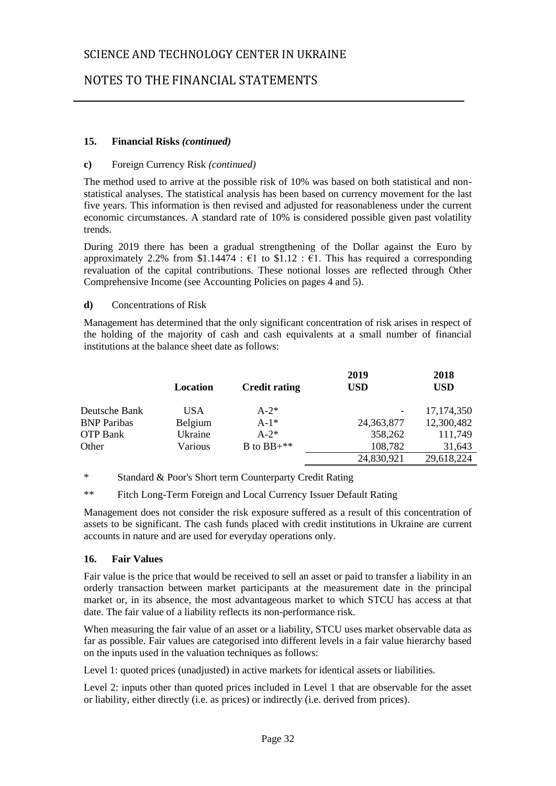# NOTES TO THE FINANCIAL STATEMENTS

## **15. Financial Risks** *(continued)*

### **c)** Foreign Currency Risk *(continued)*

The method used to arrive at the possible risk of 10% was based on both statistical and nonstatistical analyses. The statistical analysis has been based on currency movement for the last five years. This information is then revised and adjusted for reasonableness under the current economic circumstances. A standard rate of 10% is considered possible given past volatility trends.

During 2019 there has been a gradual strengthening of the Dollar against the Euro by approximately 2.2% from \$1.14474 :  $\epsilon$ 1 to \$1.12 :  $\epsilon$ 1. This has required a corresponding revaluation of the capital contributions. These notional losses are reflected through Other Comprehensive Income (see Accounting Policies on pages 4 and 5).

### **d)** Concentrations of Risk

Management has determined that the only significant concentration of risk arises in respect of the holding of the majority of cash and cash equivalents at a small number of financial institutions at the balance sheet date as follows:

|                    | Location | <b>Credit rating</b> | 2019<br><b>USD</b> | 2018<br><b>USD</b> |
|--------------------|----------|----------------------|--------------------|--------------------|
| Deutsche Bank      | USA      | $A-2*$               |                    | 17, 174, 350       |
| <b>BNP</b> Paribas | Belgium  | $A-1*$               | 24, 363, 877       | 12,300,482         |
| <b>OTP Bank</b>    | Ukraine  | $A-2*$               | 358,262            | 111,749            |
| Other              | Various  | B to $BB+***$        | 108,782            | 31,643             |
|                    |          |                      | 24,830,921         | 29,618,224         |

\* Standard & Poor's Short term Counterparty Credit Rating

\*\* Fitch Long-Term Foreign and Local Currency Issuer Default Rating

Management does not consider the risk exposure suffered as a result of this concentration of assets to be significant. The cash funds placed with credit institutions in Ukraine are current accounts in nature and are used for everyday operations only.

### **16. Fair Values**

Fair value is the price that would be received to sell an asset or paid to transfer a liability in an orderly transaction between market participants at the measurement date in the principal market or, in its absence, the most advantageous market to which STCU has access at that date. The fair value of a liability reflects its non-performance risk.

When measuring the fair value of an asset or a liability, STCU uses market observable data as far as possible. Fair values are categorised into different levels in a fair value hierarchy based on the inputs used in the valuation techniques as follows:

Level 1: quoted prices (unadjusted) in active markets for identical assets or liabilities.

Level 2: inputs other than quoted prices included in Level 1 that are observable for the asset or liability, either directly (i.e. as prices) or indirectly (i.e. derived from prices).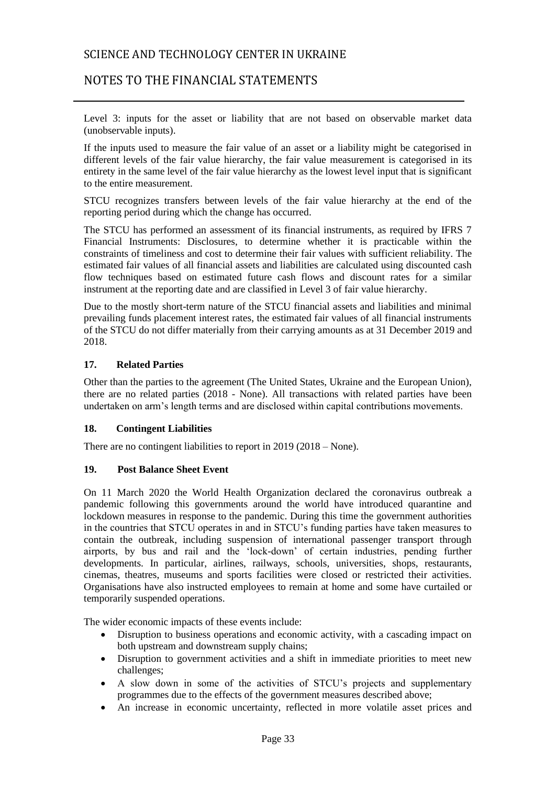# NOTES TO THE FINANCIAL STATEMENTS

Level 3: inputs for the asset or liability that are not based on observable market data (unobservable inputs).

If the inputs used to measure the fair value of an asset or a liability might be categorised in different levels of the fair value hierarchy, the fair value measurement is categorised in its entirety in the same level of the fair value hierarchy as the lowest level input that is significant to the entire measurement.

STCU recognizes transfers between levels of the fair value hierarchy at the end of the reporting period during which the change has occurred.

The STCU has performed an assessment of its financial instruments, as required by IFRS 7 Financial Instruments: Disclosures, to determine whether it is practicable within the constraints of timeliness and cost to determine their fair values with sufficient reliability. The estimated fair values of all financial assets and liabilities are calculated using discounted cash flow techniques based on estimated future cash flows and discount rates for a similar instrument at the reporting date and are classified in Level 3 of fair value hierarchy.

Due to the mostly short-term nature of the STCU financial assets and liabilities and minimal prevailing funds placement interest rates, the estimated fair values of all financial instruments of the STCU do not differ materially from their carrying amounts as at 31 December 2019 and 2018.

## **17. Related Parties**

Other than the parties to the agreement (The United States, Ukraine and the European Union), there are no related parties (2018 - None). All transactions with related parties have been undertaken on arm's length terms and are disclosed within capital contributions movements.

### **18. Contingent Liabilities**

There are no contingent liabilities to report in 2019 (2018 – None).

### **19. Post Balance Sheet Event**

On 11 March 2020 the World Health Organization declared the coronavirus outbreak a pandemic following this governments around the world have introduced quarantine and lockdown measures in response to the pandemic. During this time the government authorities in the countries that STCU operates in and in STCU's funding parties have taken measures to contain the outbreak, including suspension of international passenger transport through airports, by bus and rail and the 'lock-down' of certain industries, pending further developments. In particular, airlines, railways, schools, universities, shops, restaurants, cinemas, theatres, museums and sports facilities were closed or restricted their activities. Organisations have also instructed employees to remain at home and some have curtailed or temporarily suspended operations.

The wider economic impacts of these events include:

- Disruption to business operations and economic activity, with a cascading impact on both upstream and downstream supply chains;
- Disruption to government activities and a shift in immediate priorities to meet new challenges;
- A slow down in some of the activities of STCU's projects and supplementary programmes due to the effects of the government measures described above;
- An increase in economic uncertainty, reflected in more volatile asset prices and